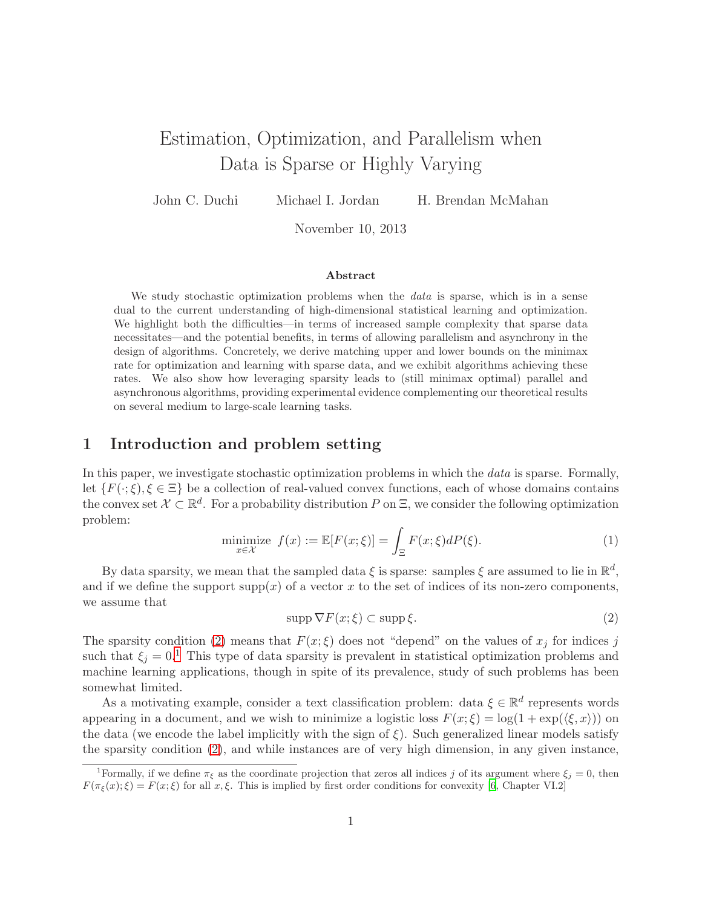# Estimation, Optimization, and Parallelism when Data is Sparse or Highly Varying

John C. Duchi Michael I. Jordan H. Brendan McMahan

November 10, 2013

#### Abstract

We study stochastic optimization problems when the *data* is sparse, which is in a sense dual to the current understanding of high-dimensional statistical learning and optimization. We highlight both the difficulties—in terms of increased sample complexity that sparse data necessitates—and the potential benefits, in terms of allowing parallelism and asynchrony in the design of algorithms. Concretely, we derive matching upper and lower bounds on the minimax rate for optimization and learning with sparse data, and we exhibit algorithms achieving these rates. We also show how leveraging sparsity leads to (still minimax optimal) parallel and asynchronous algorithms, providing experimental evidence complementing our theoretical results on several medium to large-scale learning tasks.

## 1 Introduction and problem setting

In this paper, we investigate stochastic optimization problems in which the *data* is sparse. Formally, let  $\{F(\cdot;\xi), \xi \in \Xi\}$  be a collection of real-valued convex functions, each of whose domains contains the convex set  $\mathcal{X} \subset \mathbb{R}^d$ . For a probability distribution P on  $\Xi$ , we consider the following optimization problem:

<span id="page-0-2"></span>
$$
\underset{x \in \mathcal{X}}{\text{minimize}} \ f(x) := \mathbb{E}[F(x; \xi)] = \int_{\Xi} F(x; \xi) dP(\xi). \tag{1}
$$

By data sparsity, we mean that the sampled data  $\xi$  is sparse: samples  $\xi$  are assumed to lie in  $\mathbb{R}^d$ , and if we define the support  $\text{supp}(x)$  of a vector x to the set of indices of its non-zero components. we assume that

<span id="page-0-0"></span>
$$
\operatorname{supp} \nabla F(x;\xi) \subset \operatorname{supp}\xi. \tag{2}
$$

The sparsity condition [\(2\)](#page-0-0) means that  $F(x;\xi)$  does not "depend" on the values of  $x_j$  for indices j such that  $\xi_i = 0$ .<sup>[1](#page-0-1)</sup> This type of data sparsity is prevalent in statistical optimization problems and machine learning applications, though in spite of its prevalence, study of such problems has been somewhat limited.

As a motivating example, consider a text classification problem: data  $\xi \in \mathbb{R}^d$  represents words appearing in a document, and we wish to minimize a logistic loss  $F(x; \xi) = \log(1 + \exp(\langle \xi, x \rangle))$  on the data (we encode the label implicitly with the sign of  $\xi$ ). Such generalized linear models satisfy the sparsity condition [\(2\)](#page-0-0), and while instances are of very high dimension, in any given instance,

<span id="page-0-1"></span><sup>&</sup>lt;sup>1</sup>Formally, if we define  $\pi_{\xi}$  as the coordinate projection that zeros all indices j of its argument where  $\xi_{i} = 0$ , then  $F(\pi_{\xi}(x); \xi) = F(x; \xi)$  for all  $x, \xi$ . This is implied by first order conditions for convexity [\[6,](#page-12-0) Chapter VI.2]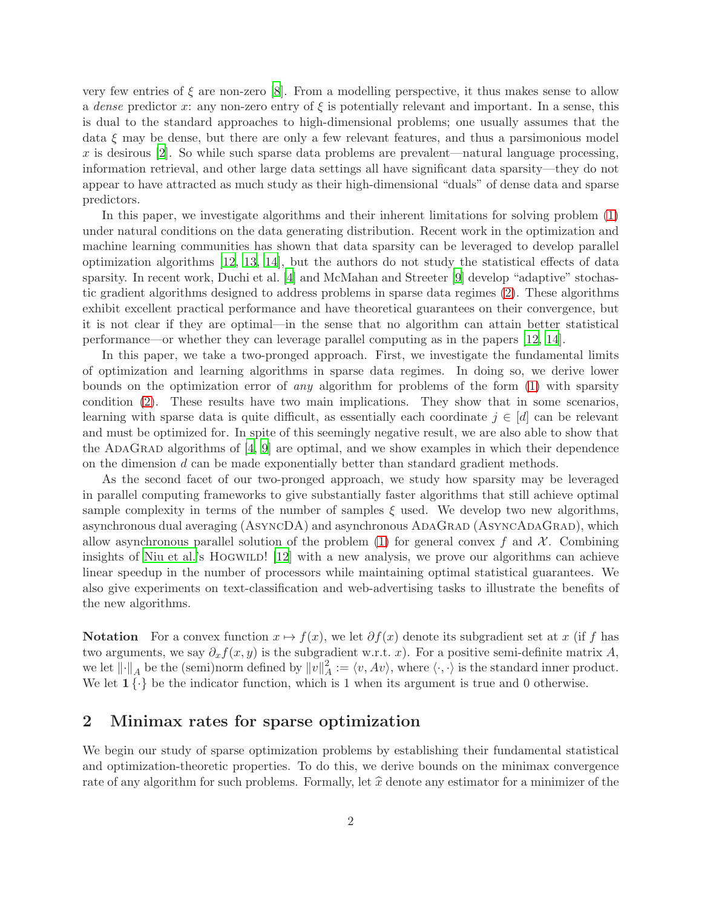very few entries of  $\xi$  are non-zero [\[8\]](#page-12-1). From a modelling perspective, it thus makes sense to allow a *dense* predictor x: any non-zero entry of  $\xi$  is potentially relevant and important. In a sense, this is dual to the standard approaches to high-dimensional problems; one usually assumes that the data  $\xi$  may be dense, but there are only a few relevant features, and thus a parsimonious model x is desirous  $[2]$ . So while such sparse data problems are prevalent—natural language processing, information retrieval, and other large data settings all have significant data sparsity—they do not appear to have attracted as much study as their high-dimensional "duals" of dense data and sparse predictors.

In this paper, we investigate algorithms and their inherent limitations for solving problem [\(1\)](#page-0-2) under natural conditions on the data generating distribution. Recent work in the optimization and machine learning communities has shown that data sparsity can be leveraged to develop parallel optimization algorithms [\[12](#page-12-3), [13,](#page-12-4) [14](#page-12-5)], but the authors do not study the statistical effects of data sparsity. In recent work, Duchi et al. [\[4\]](#page-12-6) and McMahan and Streeter [\[9\]](#page-12-7) develop "adaptive" stochastic gradient algorithms designed to address problems in sparse data regimes [\(2\)](#page-0-0). These algorithms exhibit excellent practical performance and have theoretical guarantees on their convergence, but it is not clear if they are optimal—in the sense that no algorithm can attain better statistical performance—or whether they can leverage parallel computing as in the papers [\[12,](#page-12-3) [14](#page-12-5)].

In this paper, we take a two-pronged approach. First, we investigate the fundamental limits of optimization and learning algorithms in sparse data regimes. In doing so, we derive lower bounds on the optimization error of *any* algorithm for problems of the form [\(1\)](#page-0-2) with sparsity condition [\(2\)](#page-0-0). These results have two main implications. They show that in some scenarios, learning with sparse data is quite difficult, as essentially each coordinate  $j \in [d]$  can be relevant and must be optimized for. In spite of this seemingly negative result, we are also able to show that the ADAGRAD algorithms of  $[4, 9]$  $[4, 9]$  are optimal, and we show examples in which their dependence on the dimension d can be made exponentially better than standard gradient methods.

As the second facet of our two-pronged approach, we study how sparsity may be leveraged in parallel computing frameworks to give substantially faster algorithms that still achieve optimal sample complexity in terms of the number of samples  $\xi$  used. We develop two new algorithms, asynchronous dual averaging (ASYNCDA) and asynchronous ADAGRAD (ASYNCADAGRAD), which allow asynchronous parallel solution of the problem [\(1\)](#page-0-2) for general convex f and  $\mathcal{X}$ . Combining insights of [Niu et al.'](#page-12-3)s HOGWILD!  $[12]$  $[12]$  with a new analysis, we prove our algorithms can achieve linear speedup in the number of processors while maintaining optimal statistical guarantees. We also give experiments on text-classification and web-advertising tasks to illustrate the benefits of the new algorithms.

Notation For a convex function  $x \mapsto f(x)$ , we let  $\partial f(x)$  denote its subgradient set at x (if f has two arguments, we say  $\partial_x f(x, y)$  is the subgradient w.r.t. x). For a positive semi-definite matrix A, we let  $\lVert \cdot \rVert_A$  be the (semi)norm defined by  $\lVert v \rVert_A^2$  $A^2_A := \langle v, Av \rangle$ , where  $\langle \cdot, \cdot \rangle$  is the standard inner product. We let  $1\{\cdot\}$  be the indicator function, which is 1 when its argument is true and 0 otherwise.

# <span id="page-1-0"></span>2 Minimax rates for sparse optimization

We begin our study of sparse optimization problems by establishing their fundamental statistical and optimization-theoretic properties. To do this, we derive bounds on the minimax convergence rate of any algorithm for such problems. Formally, let  $\hat{x}$  denote any estimator for a minimizer of the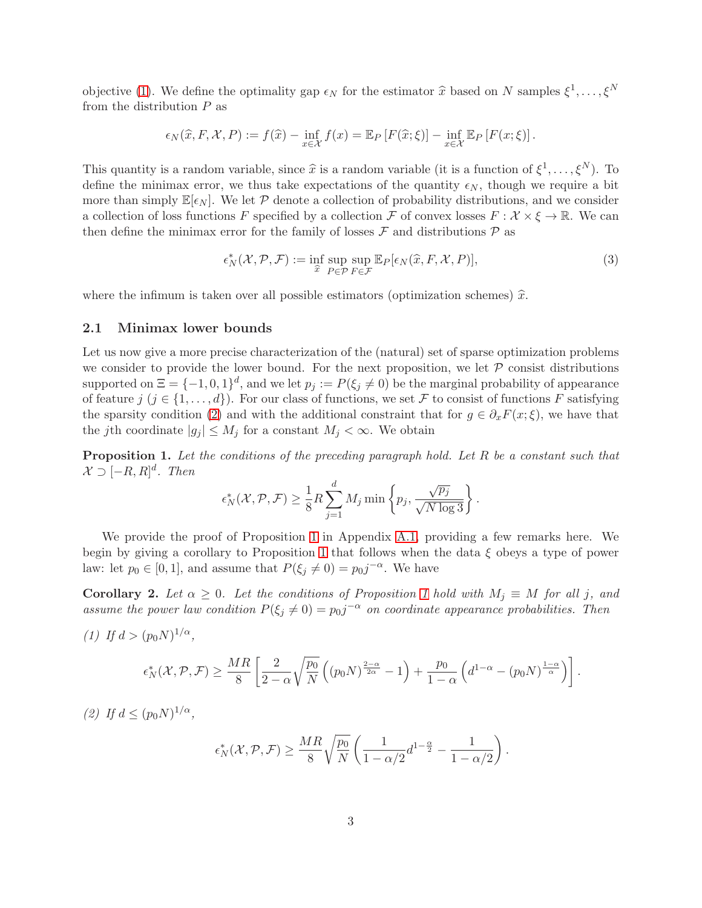objective [\(1\)](#page-0-2). We define the optimality gap  $\epsilon_N$  for the estimator  $\hat{x}$  based on N samples  $\xi^1, \ldots, \xi^N$ from the distribution  $P$  as

$$
\epsilon_N(\widehat{x}, F, \mathcal{X}, P) := f(\widehat{x}) - \inf_{x \in \mathcal{X}} f(x) = \mathbb{E}_P \left[ F(\widehat{x}; \xi) \right] - \inf_{x \in \mathcal{X}} \mathbb{E}_P \left[ F(x; \xi) \right].
$$

This quantity is a random variable, since  $\hat{x}$  is a random variable (it is a function of  $\xi^1, \ldots, \xi^N$ ). To define the minimax error, we thus take expectations of the quantity  $\epsilon_N$ , though we require a bit more than simply  $\mathbb{E}[\epsilon_N]$ . We let P denote a collection of probability distributions, and we consider a collection of loss functions F specified by a collection F of convex losses  $F : \mathcal{X} \times \xi \to \mathbb{R}$ . We can then define the minimax error for the family of losses  $\mathcal F$  and distributions  $\mathcal P$  as

$$
\epsilon_N^*(\mathcal{X}, \mathcal{P}, \mathcal{F}) := \inf_{\widehat{x}} \sup_{P \in \mathcal{P}} \sup_{F \in \mathcal{F}} \mathbb{E}_P[\epsilon_N(\widehat{x}, F, \mathcal{X}, P)],\tag{3}
$$

where the infimum is taken over all possible estimators (optimization schemes)  $\hat{x}$ .

### 2.1 Minimax lower bounds

Let us now give a more precise characterization of the (natural) set of sparse optimization problems we consider to provide the lower bound. For the next proposition, we let  $\mathcal P$  consist distributions supported on  $\Xi = \{-1, 0, 1\}^d$ , and we let  $p_j := P(\xi_j \neq 0)$  be the marginal probability of appearance of feature  $j$   $(j \in \{1, ..., d\})$ . For our class of functions, we set F to consist of functions F satisfying the sparsity condition [\(2\)](#page-0-0) and with the additional constraint that for  $g \in \partial_x F(x;\xi)$ , we have that the j<sup>th</sup> coordinate  $|g_j| \leq M_j$  for a constant  $M_j < \infty$ . We obtain

<span id="page-2-0"></span>Proposition 1. *Let the conditions of the preceding paragraph hold. Let* R *be a constant such that*  $\mathcal{X} \supset [-R, R]^d$ . Then

$$
\epsilon_N^*(\mathcal{X}, \mathcal{P}, \mathcal{F}) \ge \frac{1}{8} R \sum_{j=1}^d M_j \min\left\{ p_j, \frac{\sqrt{p_j}}{\sqrt{N \log 3}} \right\}.
$$

We provide the proof of Proposition [1](#page-2-0) in Appendix [A.1,](#page-13-0) providing a few remarks here. We begin by giving a corollary to Proposition [1](#page-2-0) that follows when the data  $\xi$  obeys a type of power law: let  $p_0 \in [0, 1]$ , and assume that  $P(\xi_j \neq 0) = p_0 j^{-\alpha}$ . We have

<span id="page-2-2"></span>**Corollary 2.** Let  $\alpha \geq 0$ . Let the conditions of Proposition [1](#page-2-0) hold with  $M_i \equiv M$  for all j, and assume the power law condition  $P(\xi_j \neq 0) = p_0j^{-\alpha}$  on coordinate appearance probabilities. Then

*(1)* If  $d > (p_0 N)^{1/\alpha}$ ,

$$
\epsilon^*_N(\mathcal{X},\mathcal{P},\mathcal{F})\geq \frac{MR}{8}\left[\frac{2}{2-\alpha}\sqrt{\frac{p_0}{N}}\left((p_0N)^{\frac{2-\alpha}{2\alpha}}-1\right)+\frac{p_0}{1-\alpha}\left(d^{1-\alpha}-\left(p_0N\right)^{\frac{1-\alpha}{\alpha}}\right)\right].
$$

<span id="page-2-1"></span>*(2)* If  $d \leq (p_0 N)^{1/\alpha}$ ,

$$
\epsilon^*_N(\mathcal{X}, \mathcal{P}, \mathcal{F}) \ge \frac{MR}{8} \sqrt{\frac{p_0}{N}} \left( \frac{1}{1 - \alpha/2} d^{1 - \frac{\alpha}{2}} - \frac{1}{1 - \alpha/2} \right).
$$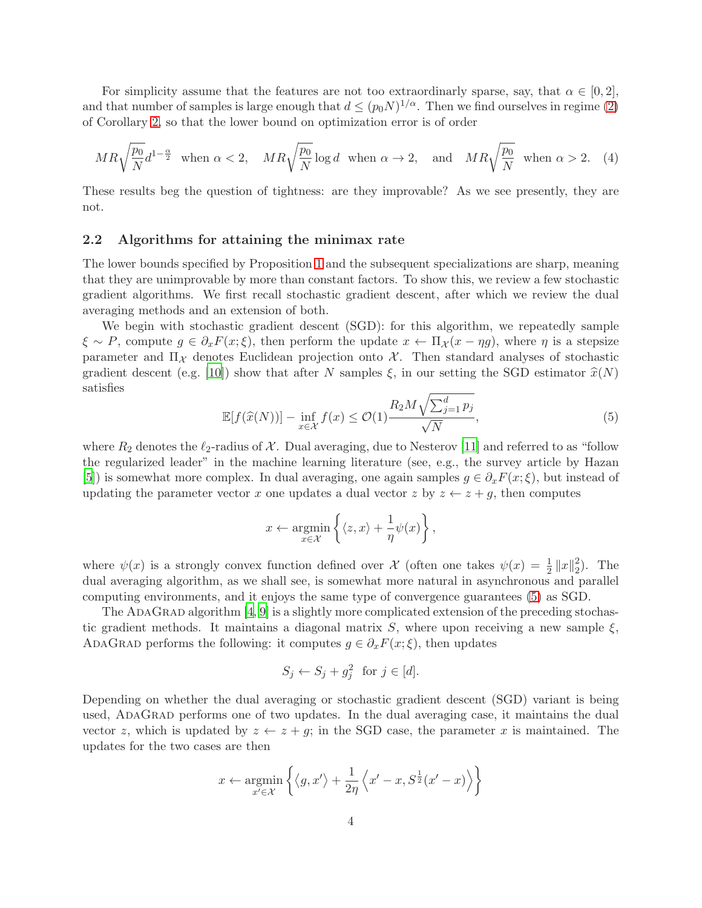For simplicity assume that the features are not too extraordinarly sparse, say, that  $\alpha \in [0,2]$ , and that number of samples is large enough that  $d \leq (p_0 N)^{1/\alpha}$ . Then we find ourselves in regime [\(2\)](#page-2-1) of Corollary [2,](#page-2-2) so that the lower bound on optimization error is of order

<span id="page-3-1"></span>
$$
MR\sqrt{\frac{p_0}{N}}d^{1-\frac{\alpha}{2}} \text{ when } \alpha < 2, \quad MR\sqrt{\frac{p_0}{N}}\log d \text{ when } \alpha \to 2, \text{ and } MR\sqrt{\frac{p_0}{N}} \text{ when } \alpha > 2. \tag{4}
$$

These results beg the question of tightness: are they improvable? As we see presently, they are not.

### <span id="page-3-2"></span>2.2 Algorithms for attaining the minimax rate

The lower bounds specified by Proposition [1](#page-2-0) and the subsequent specializations are sharp, meaning that they are unimprovable by more than constant factors. To show this, we review a few stochastic gradient algorithms. We first recall stochastic gradient descent, after which we review the dual averaging methods and an extension of both.

We begin with stochastic gradient descent (SGD): for this algorithm, we repeatedly sample  $\xi \sim P$ , compute  $g \in \partial_x F(x;\xi)$ , then perform the update  $x \leftarrow \Pi_{\mathcal{X}}(x - \eta g)$ , where  $\eta$  is a stepsize parameter and  $\Pi_{\mathcal{X}}$  denotes Euclidean projection onto  $\mathcal{X}$ . Then standard analyses of stochastic gradient descent (e.g. [\[10](#page-12-8)]) show that after N samples  $\xi$ , in our setting the SGD estimator  $\hat{x}(N)$ satisfies

<span id="page-3-0"></span>
$$
\mathbb{E}[f(\widehat{x}(N))] - \inf_{x \in \mathcal{X}} f(x) \le \mathcal{O}(1) \frac{R_2 M \sqrt{\sum_{j=1}^d p_j}}{\sqrt{N}},\tag{5}
$$

where  $R_2$  denotes the  $\ell_2$ -radius of X. Dual averaging, due to Nesterov [\[11\]](#page-12-9) and referred to as "follow the regularized leader" in the machine learning literature (see, e.g., the survey article by Hazan [\[5](#page-12-10)]) is somewhat more complex. In dual averaging, one again samples  $g \in \partial_x F(x;\xi)$ , but instead of updating the parameter vector x one updates a dual vector  $z$  by  $z \leftarrow z + q$ , then computes

$$
x \leftarrow \underset{x \in \mathcal{X}}{\operatorname{argmin}} \left\{ \langle z, x \rangle + \frac{1}{\eta} \psi(x) \right\},\
$$

where  $\psi(x)$  is a strongly convex function defined over X (often one takes  $\psi(x) = \frac{1}{2} ||x||_2^2$  $2^2$ ). The dual averaging algorithm, as we shall see, is somewhat more natural in asynchronous and parallel computing environments, and it enjoys the same type of convergence guarantees [\(5\)](#page-3-0) as SGD.

The ADAGRAD algorithm  $[4, 9]$  $[4, 9]$  $[4, 9]$  is a slightly more complicated extension of the preceding stochastic gradient methods. It maintains a diagonal matrix  $S$ , where upon receiving a new sample  $\xi$ , ADAGRAD performs the following: it computes  $g \in \partial_x F(x;\xi)$ , then updates

$$
S_j \leftarrow S_j + g_j^2 \text{ for } j \in [d].
$$

Depending on whether the dual averaging or stochastic gradient descent (SGD) variant is being used, AdaGrad performs one of two updates. In the dual averaging case, it maintains the dual vector z, which is updated by  $z \leftarrow z + g$ ; in the SGD case, the parameter x is maintained. The updates for the two cases are then

$$
x \leftarrow \underset{x' \in \mathcal{X}}{\operatorname{argmin}} \left\{ \left\langle g, x' \right\rangle + \frac{1}{2\eta} \left\langle x' - x, S^{\frac{1}{2}}(x' - x) \right\rangle \right\}
$$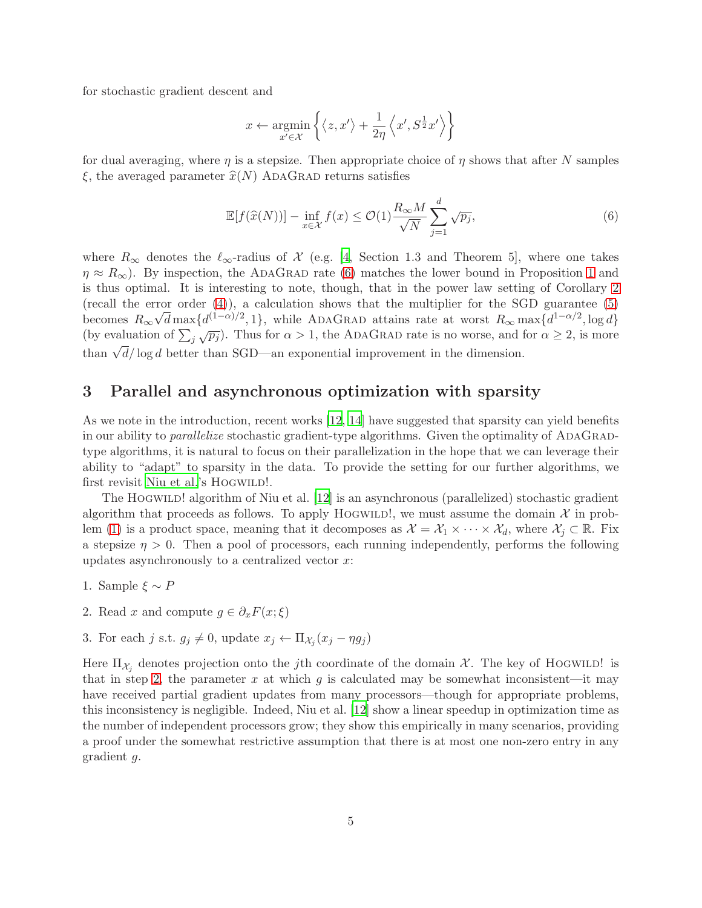for stochastic gradient descent and

$$
x \leftarrow \operatornamewithlimits{argmin}_{x' \in \mathcal{X}} \left\{ \left\langle z, x' \right\rangle + \frac{1}{2\eta} \left\langle x', S^{\frac{1}{2}} x' \right\rangle \right\}
$$

for dual averaging, where  $\eta$  is a stepsize. Then appropriate choice of  $\eta$  shows that after N samples  $\xi$ , the averaged parameter  $\hat{x}(N)$  ADAGRAD returns satisfies

<span id="page-4-0"></span>
$$
\mathbb{E}[f(\widehat{x}(N))] - \inf_{x \in \mathcal{X}} f(x) \le \mathcal{O}(1) \frac{R_{\infty} M}{\sqrt{N}} \sum_{j=1}^{d} \sqrt{p_j},\tag{6}
$$

where  $R_{\infty}$  denotes the  $\ell_{\infty}$ -radius of X (e.g. [\[4,](#page-12-6) Section 1.3 and Theorem 5], where one takes  $\eta \approx R_{\infty}$ ). By inspection, the ADAGRAD rate [\(6\)](#page-4-0) matches the lower bound in Proposition [1](#page-2-0) and is thus optimal. It is interesting to note, though, that in the power law setting of Corollary [2](#page-2-2) (recall the error order  $(4)$ ), a calculation shows that the multiplier for the SGD guarantee  $(5)$ becomes  $R_{\infty} \sqrt{d} \max\{d^{(1-\alpha)/2}, 1\}$ , while ADAGRAD attains rate at worst  $R_{\infty} \max\{d^{1-\alpha/2}, \log d\}$ (by evaluation of  $\sum_j \sqrt{p_j}$ ). Thus for  $\alpha > 1$ , the ADAGRAD rate is no worse, and for  $\alpha \geq 2$ , is more than  $\sqrt{d}/\log d$  better than SGD—an exponential improvement in the dimension.

## 3 Parallel and asynchronous optimization with sparsity

As we note in the introduction, recent works [\[12](#page-12-3), [14](#page-12-5)] have suggested that sparsity can yield benefits in our ability to *parallelize* stochastic gradient-type algorithms. Given the optimality of ADAGRADtype algorithms, it is natural to focus on their parallelization in the hope that we can leverage their ability to "adapt" to sparsity in the data. To provide the setting for our further algorithms, we first revisit [Niu et al.'](#page-12-3)s HOGWILD!.

The HOGWILD! algorithm of Niu et al. [\[12](#page-12-3)] is an asynchronous (parallelized) stochastic gradient algorithm that proceeds as follows. To apply HOGWILD!, we must assume the domain  $\mathcal{X}$  in prob-lem [\(1\)](#page-0-2) is a product space, meaning that it decomposes as  $\mathcal{X} = \mathcal{X}_1 \times \cdots \times \mathcal{X}_d$ , where  $\mathcal{X}_i \subset \mathbb{R}$ . Fix a stepsize  $\eta > 0$ . Then a pool of processors, each running independently, performs the following updates asynchronously to a centralized vector  $x$ :

- <span id="page-4-1"></span>1. Sample  $\xi \sim P$
- 2. Read x and compute  $g \in \partial_x F(x;\xi)$
- 3. For each j s.t.  $g_j \neq 0$ , update  $x_j \leftarrow \Pi_{\mathcal{X}_j}(x_j \eta g_j)$

Here  $\Pi_{\mathcal{X}_j}$  denotes projection onto the j<sup>th</sup> coordinate of the domain  $\mathcal{X}$ . The key of HOGWILD! is that in step [2,](#page-4-1) the parameter x at which  $g$  is calculated may be somewhat inconsistent—it may have received partial gradient updates from many processors—though for appropriate problems, this inconsistency is negligible. Indeed, Niu et al. [\[12\]](#page-12-3) show a linear speedup in optimization time as the number of independent processors grow; they show this empirically in many scenarios, providing a proof under the somewhat restrictive assumption that there is at most one non-zero entry in any gradient g.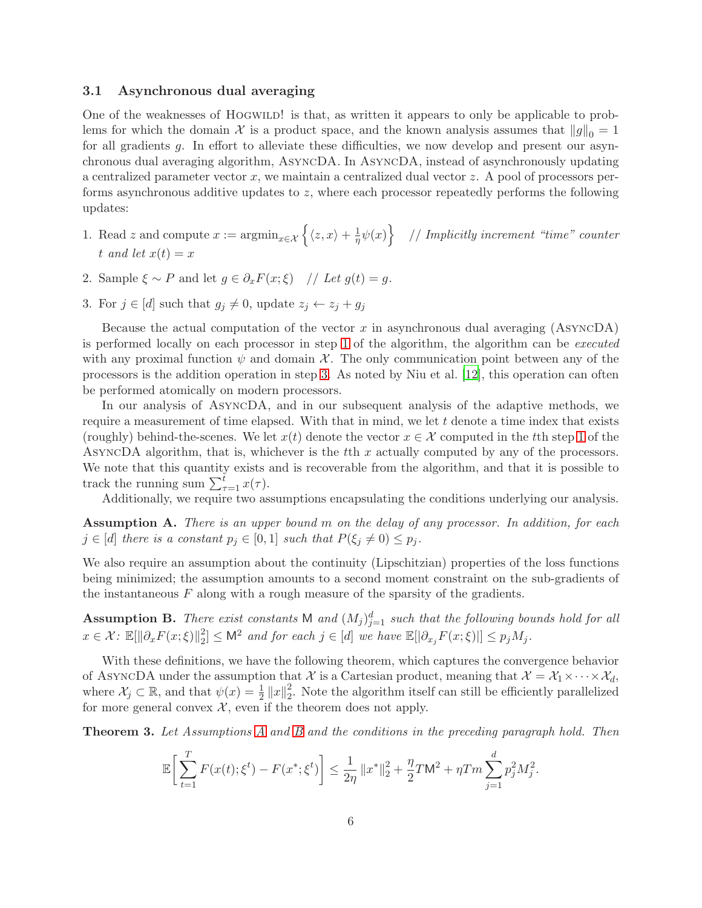### <span id="page-5-5"></span>3.1 Asynchronous dual averaging

One of the weaknesses of HOGWILD! is that, as written it appears to only be applicable to problems for which the domain X is a product space, and the known analysis assumes that  $||g||_0 = 1$ for all gradients g. In effort to alleviate these difficulties, we now develop and present our asynchronous dual averaging algorithm, AsyncDA. In AsyncDA, instead of asynchronously updating a centralized parameter vector  $x$ , we maintain a centralized dual vector  $z$ . A pool of processors performs asynchronous additive updates to z, where each processor repeatedly performs the following updates:

- <span id="page-5-0"></span>1. Read z and compute  $x := \operatorname{argmin}_{x \in \mathcal{X}} \left\{ \langle z, x \rangle + \frac{1}{\eta} \right\}$  $\frac{1}{\eta}\psi(x)\bigg\}$  // *Implicitly increment "time" counter* t and let  $x(t) = x$
- <span id="page-5-1"></span>2. Sample  $\xi \sim P$  and let  $g \in \partial_x F(x;\xi)$  // *Let*  $g(t) = g$ .
- 3. For  $j \in [d]$  such that  $g_j \neq 0$ , update  $z_j \leftarrow z_j + g_j$

Because the actual computation of the vector  $x$  in asynchronous dual averaging (ASYNCDA) is performed locally on each processor in step [1](#page-5-0) of the algorithm, the algorithm can be *executed* with any proximal function  $\psi$  and domain X. The only communication point between any of the processors is the addition operation in step [3.](#page-5-1) As noted by Niu et al. [\[12\]](#page-12-3), this operation can often be performed atomically on modern processors.

In our analysis of AsyncDA, and in our subsequent analysis of the adaptive methods, we require a measurement of time elapsed. With that in mind, we let  $t$  denote a time index that exists (roughly) behind-the-scenes. We let  $x(t)$  denote the vector  $x \in \mathcal{X}$  computed in the tth step [1](#page-5-0) of the ASYNCDA algorithm, that is, whichever is the  $t$ th  $x$  actually computed by any of the processors. We note that this quantity exists and is recoverable from the algorithm, and that it is possible to track the running sum  $\sum_{\tau=1}^{t} x(\tau)$ .

Additionally, we require two assumptions encapsulating the conditions underlying our analysis.

<span id="page-5-2"></span>Assumption A. *There is an upper bound* m *on the delay of any processor. In addition, for each*  $j \in [d]$  there is a constant  $p_j \in [0,1]$  such that  $P(\xi_j \neq 0) \leq p_j$ .

We also require an assumption about the continuity (Lipschitzian) properties of the loss functions being minimized; the assumption amounts to a second moment constraint on the sub-gradients of the instantaneous  $F$  along with a rough measure of the sparsity of the gradients.

<span id="page-5-3"></span>**Assumption B.** There exist constants M and  $(M_j)_{j=1}^d$  such that the following bounds hold for all  $x \in \mathcal{X}$ :  $\mathbb{E}[\|\partial_x F(x;\xi)\|_2^2]$  $\mathbb{Z}_2^2 \leq \mathsf{M}^2$  *and for each*  $j \in [d]$  *we have*  $\mathbb{E}[|\partial_{x_j}F(x;\xi)|] \leq p_j M_j$ *.* 

With these definitions, we have the following theorem, which captures the convergence behavior of ASYNCDA under the assumption that X is a Cartesian product, meaning that  $\mathcal{X} = \mathcal{X}_1 \times \cdots \times \mathcal{X}_d$ , where  $\mathcal{X}_j \subset \mathbb{R}$ , and that  $\psi(x) = \frac{1}{2} ||x||_2^2$ 2 . Note the algorithm itself can still be efficiently parallelized for more general convex  $\mathcal{X}$ , even if the theorem does not apply.

<span id="page-5-4"></span>Theorem 3. *Let Assumptions [A](#page-5-2) and [B](#page-5-3) and the conditions in the preceding paragraph hold. Then*

$$
\mathbb{E}\bigg[\sum_{t=1}^T F(x(t); \xi^t) - F(x^*; \xi^t)\bigg] \le \frac{1}{2\eta} \|x^*\|_2^2 + \frac{\eta}{2} T \mathsf{M}^2 + \eta T m \sum_{j=1}^d p_j^2 M_j^2.
$$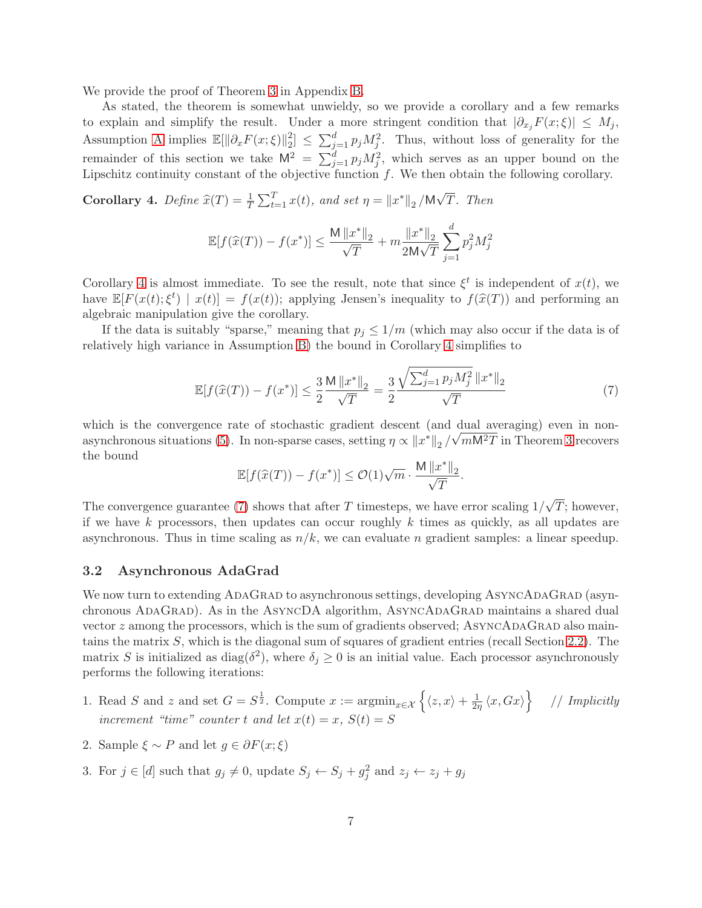We provide the proof of Theorem [3](#page-5-4) in Appendix [B.](#page-15-0)

As stated, the theorem is somewhat unwieldy, so we provide a corollary and a few remarks to explain and simplify the result. Under a more stringent condition that  $|\partial_{x_j}F(x;\xi)| \leq M_j$ , Assumption [A](#page-5-2) implies  $\mathbb{E}[\|\partial_x F(x;\xi)\|_2^2]$  $\sum_{j=1}^{d} p_j M_j^2$ . Thus, without loss of generality for the remainder of this section we take  $\mathsf{M}^2 = \sum_{j=1}^d p_j M_j^2$ , which serves as an upper bound on the Lipschitz continuity constant of the objective function  $f$ . We then obtain the following corollary.

<span id="page-6-0"></span>**Corollary 4.** Define  $\hat{x}(T) = \frac{1}{T} \sum_{t=1}^{T} x(t)$ , and set  $\eta = ||x^*||_2 / M\sqrt{T}$ . Then

$$
\mathbb{E}[f(\widehat{x}(T)) - f(x^*)] \le \frac{\mathsf{M} \|x^*\|_2}{\sqrt{T}} + m \frac{\|x^*\|_2}{2\mathsf{M}\sqrt{T}} \sum_{j=1}^d p_j^2 M_j^2
$$

Corollary [4](#page-6-0) is almost immediate. To see the result, note that since  $\xi^t$  is independent of  $x(t)$ , we have  $\mathbb{E}[F(x(t); \xi^t) | x(t)] = f(x(t));$  applying Jensen's inequality to  $f(\hat{x}(T))$  and performing an algebraic manipulation give the corollary.

If the data is suitably "sparse," meaning that  $p_i \leq 1/m$  (which may also occur if the data is of relatively high variance in Assumption [B\)](#page-5-3) the bound in Corollary [4](#page-6-0) simplifies to

<span id="page-6-1"></span>
$$
\mathbb{E}[f(\widehat{x}(T)) - f(x^*)] \le \frac{3}{2} \frac{\mathsf{M} \|x^*\|_2}{\sqrt{T}} = \frac{3}{2} \frac{\sqrt{\sum_{j=1}^d p_j M_j^2} \|x^*\|_2}{\sqrt{T}} \tag{7}
$$

which is the convergence rate of stochastic gradient descent (and dual averaging) even in non-which is the convergence rate of stochastic gradient descent (and data averaging) over in non-<br>asynchronous situations [\(5\)](#page-3-0). In non-sparse cases, setting  $\eta \propto ||x^*||_2 / \sqrt{mM^2T}$  in Theorem [3](#page-5-4) recovers the bound

$$
\mathbb{E}[f(\widehat{x}(T)) - f(x^*)] \leq \mathcal{O}(1) \sqrt{m} \cdot \frac{\mathsf{M} \left \| x^* \right \|_2}{\sqrt{T}}.
$$

The convergence guarantee [\(7\)](#page-6-1) shows that after T timesteps, we have error scaling  $1/\sqrt{T}$ ; however, if we have k processors, then updates can occur roughly  $k$  times as quickly, as all updates are asynchronous. Thus in time scaling as  $n/k$ , we can evaluate n gradient samples: a linear speedup.

### 3.2 Asynchronous AdaGrad

We now turn to extending ADAGRAD to asynchronous settings, developing ASYNCADAGRAD (asynchronous ADAGRAD). As in the ASYNCDA algorithm, ASYNCADAGRAD maintains a shared dual vector  $z$  among the processors, which is the sum of gradients observed; ASYNCADAGRAD also maintains the matrix S, which is the diagonal sum of squares of gradient entries (recall Section [2.2\)](#page-3-2). The matrix S is initialized as  $\text{diag}(\delta^2)$ , where  $\delta_j \geq 0$  is an initial value. Each processor asynchronously performs the following iterations:

- <span id="page-6-2"></span>1. Read S and z and set  $G = S^{\frac{1}{2}}$ . Compute  $x := \operatorname{argmin}_{x \in \mathcal{X}} \left\{ \langle z, x \rangle + \frac{1}{2n} \right\}$  $\frac{1}{2\eta} \langle x, Gx \rangle$  // *Implicitly increment "time" counter* t and let  $x(t) = x$ ,  $S(t) = S$
- 2. Sample  $\xi \sim P$  and let  $q \in \partial F(x;\xi)$
- 3. For  $j \in [d]$  such that  $g_j \neq 0$ , update  $S_j \leftarrow S_j + g_j^2$  and  $z_j \leftarrow z_j + g_j$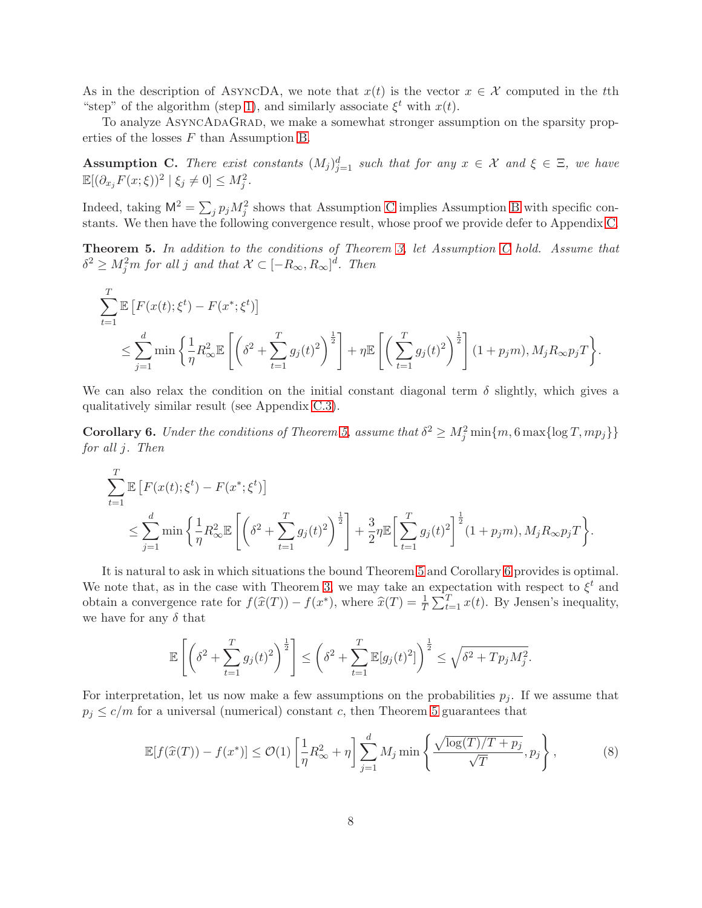As in the description of ASYNCDA, we note that  $x(t)$  is the vector  $x \in \mathcal{X}$  computed in the tth "step" of the algorithm (step [1\)](#page-6-2), and similarly associate  $\xi^t$  with  $x(t)$ .

To analyze AsyncAdaGrad, we make a somewhat stronger assumption on the sparsity properties of the losses F than Assumption [B.](#page-5-3)

<span id="page-7-0"></span>Assumption C. There exist constants  $(M_j)_{j=1}^d$  such that for any  $x \in \mathcal{X}$  and  $\xi \in \Xi$ , we have  $\mathbb{E}[(\partial_{x_j} F(x;\xi))^2 \mid \xi_j \neq 0] \leq M_j^2.$ 

Indeed, taking  $\mathsf{M}^2 = \sum_j p_j M_j^2$  shows that Assumption [C](#page-7-0) implies Assumption [B](#page-5-3) with specific constants. We then have the following convergence result, whose proof we provide defer to Appendix [C.](#page-18-0)

<span id="page-7-1"></span>Theorem 5. *In addition to the conditions of Theorem [3,](#page-5-4) let Assumption [C](#page-7-0) hold. Assume that*  $\delta^2 \geq M_j^2 m$  for all j and that  $\mathcal{X} \subset [-R_\infty, R_\infty]^d$ . Then

$$
\sum_{t=1}^T \mathbb{E}\left[F(x(t);\xi^t) - F(x^*;\xi^t)\right]
$$
\n
$$
\leq \sum_{j=1}^d \min\left\{\frac{1}{\eta}R_{\infty}^2 \mathbb{E}\left[\left(\delta^2 + \sum_{t=1}^T g_j(t)^2\right)^{\frac{1}{2}}\right] + \eta \mathbb{E}\left[\left(\sum_{t=1}^T g_j(t)^2\right)^{\frac{1}{2}}\right](1+p_jm), M_jR_{\infty}p_jT\right\}.
$$

We can also relax the condition on the initial constant diagonal term  $\delta$  slightly, which gives a qualitatively similar result (see Appendix [C.3\)](#page-24-0).

<span id="page-7-2"></span>**Corollary 6.** *Under the conditions of Theorem [5,](#page-7-1) assume that*  $\delta^2 \ge M_j^2 \min\{m, 6 \max\{\log T, mp_j\}\}\$ *for all* j*. Then*

$$
\sum_{t=1}^{T} \mathbb{E} \left[ F(x(t); \xi^t) - F(x^*; \xi^t) \right]
$$
\n
$$
\leq \sum_{j=1}^{d} \min \left\{ \frac{1}{\eta} R_{\infty}^2 \mathbb{E} \left[ \left( \delta^2 + \sum_{t=1}^{T} g_j(t)^2 \right)^{\frac{1}{2}} \right] + \frac{3}{2} \eta \mathbb{E} \left[ \sum_{t=1}^{T} g_j(t)^2 \right]^{\frac{1}{2}} (1 + p_j m), M_j R_{\infty} p_j T \right\}.
$$

It is natural to ask in which situations the bound Theorem [5](#page-7-1) and Corollary [6](#page-7-2) provides is optimal. We note that, as in the case with Theorem [3,](#page-5-4) we may take an expectation with respect to  $\xi^t$  and obtain a convergence rate for  $f(\hat{x}(T)) - f(x^*)$ , where  $\hat{x}(T) = \frac{1}{T} \sum_{t=1}^T x(t)$ . By Jensen's inequality, we have for any  $\delta$  that

$$
\mathbb{E}\left[\left(\delta^2 + \sum_{t=1}^T g_j(t)^2\right)^{\frac{1}{2}}\right] \le \left(\delta^2 + \sum_{t=1}^T \mathbb{E}[g_j(t)^2]\right)^{\frac{1}{2}} \le \sqrt{\delta^2 + T p_j M_j^2}.
$$

For interpretation, let us now make a few assumptions on the probabilities  $p_j$ . If we assume that  $p_j \leq c/m$  for a universal (numerical) constant c, then Theorem [5](#page-7-1) guarantees that

<span id="page-7-3"></span>
$$
\mathbb{E}[f(\widehat{x}(T)) - f(x^*)] \le \mathcal{O}(1) \left[ \frac{1}{\eta} R_{\infty}^2 + \eta \right] \sum_{j=1}^d M_j \min \left\{ \frac{\sqrt{\log(T)/T + p_j}}{\sqrt{T}}, p_j \right\},\tag{8}
$$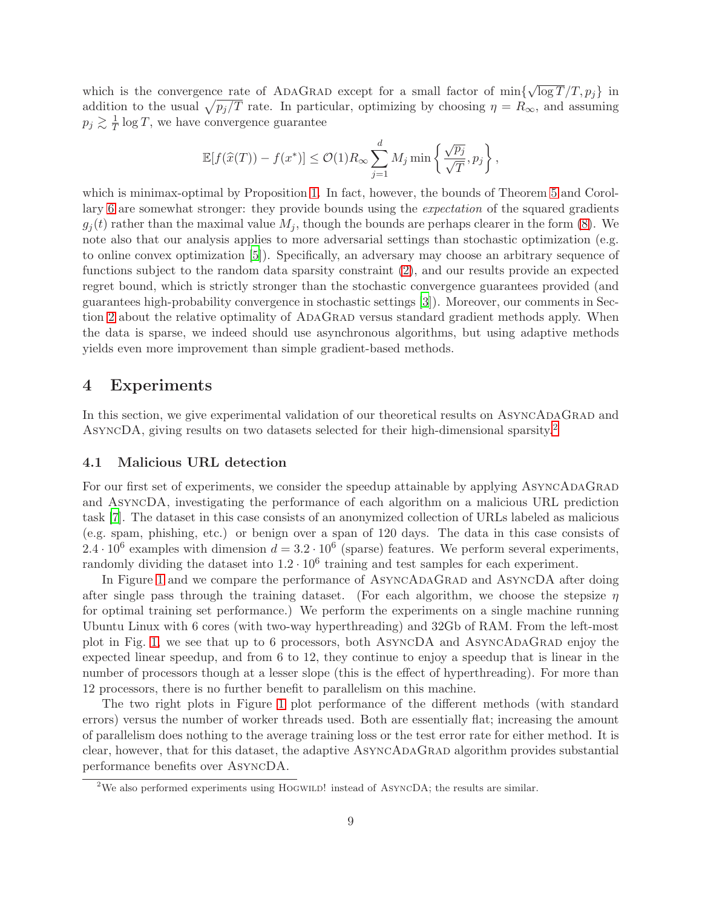which is the convergence rate of ADAGRAD except for a small factor of  $\min\{\sqrt{\log T}/T, p_j\}$  in addition to the usual  $\sqrt{p_j/T}$  rate. In particular, optimizing by choosing  $\eta = R_{\infty}$ , and assuming  $p_j \gtrsim \frac{1}{7}$  $\frac{1}{T}$  log T, we have convergence guarantee

$$
\mathbb{E}[f(\widehat{x}(T)) - f(x^*)] \leq \mathcal{O}(1)R_{\infty} \sum_{j=1}^d M_j \min \left\{ \frac{\sqrt{p_j}}{\sqrt{T}}, p_j \right\},\,
$$

which is minimax-optimal by Proposition [1.](#page-2-0) In fact, however, the bounds of Theorem [5](#page-7-1) and Corollary [6](#page-7-2) are somewhat stronger: they provide bounds using the *expectation* of the squared gradients  $g_i(t)$  rather than the maximal value  $M_i$ , though the bounds are perhaps clearer in the form [\(8\)](#page-7-3). We note also that our analysis applies to more adversarial settings than stochastic optimization (e.g. to online convex optimization [\[5\]](#page-12-10)). Specifically, an adversary may choose an arbitrary sequence of functions subject to the random data sparsity constraint [\(2\)](#page-0-0), and our results provide an expected regret bound, which is strictly stronger than the stochastic convergence guarantees provided (and guarantees high-probability convergence in stochastic settings [\[3](#page-12-11)]). Moreover, our comments in Section [2](#page-1-0) about the relative optimality of AdaGrad versus standard gradient methods apply. When the data is sparse, we indeed should use asynchronous algorithms, but using adaptive methods yields even more improvement than simple gradient-based methods.

# 4 Experiments

In this section, we give experimental validation of our theoretical results on ASYNCADAGRAD and AsyncDA, giving results on two datasets selected for their high-dimensional sparsity.[2](#page-8-0)

### <span id="page-8-1"></span>4.1 Malicious URL detection

For our first set of experiments, we consider the speedup attainable by applying ASYNCADAGRAD and AsyncDA, investigating the performance of each algorithm on a malicious URL prediction task [\[7](#page-12-12)]. The dataset in this case consists of an anonymized collection of URLs labeled as malicious (e.g. spam, phishing, etc.) or benign over a span of 120 days. The data in this case consists of 2.4 ·  $10^6$  examples with dimension  $d = 3.2 \cdot 10^6$  (sparse) features. We perform several experiments, randomly dividing the dataset into  $1.2 \cdot 10^6$  training and test samples for each experiment.

In Figure [1](#page-9-0) and we compare the performance of ASYNCADAGRAD and ASYNCDA after doing after single pass through the training dataset. (For each algorithm, we choose the stepsize  $\eta$ for optimal training set performance.) We perform the experiments on a single machine running Ubuntu Linux with 6 cores (with two-way hyperthreading) and 32Gb of RAM. From the left-most plot in Fig. [1,](#page-9-0) we see that up to 6 processors, both ASYNCDA and ASYNCADAGRAD enjoy the expected linear speedup, and from 6 to 12, they continue to enjoy a speedup that is linear in the number of processors though at a lesser slope (this is the effect of hyperthreading). For more than 12 processors, there is no further benefit to parallelism on this machine.

The two right plots in Figure [1](#page-9-0) plot performance of the different methods (with standard errors) versus the number of worker threads used. Both are essentially flat; increasing the amount of parallelism does nothing to the average training loss or the test error rate for either method. It is clear, however, that for this dataset, the adaptive AsyncAdaGrad algorithm provides substantial performance benefits over AsyncDA.

<span id="page-8-0"></span><sup>&</sup>lt;sup>2</sup>We also performed experiments using HOGWILD! instead of AsyncDA; the results are similar.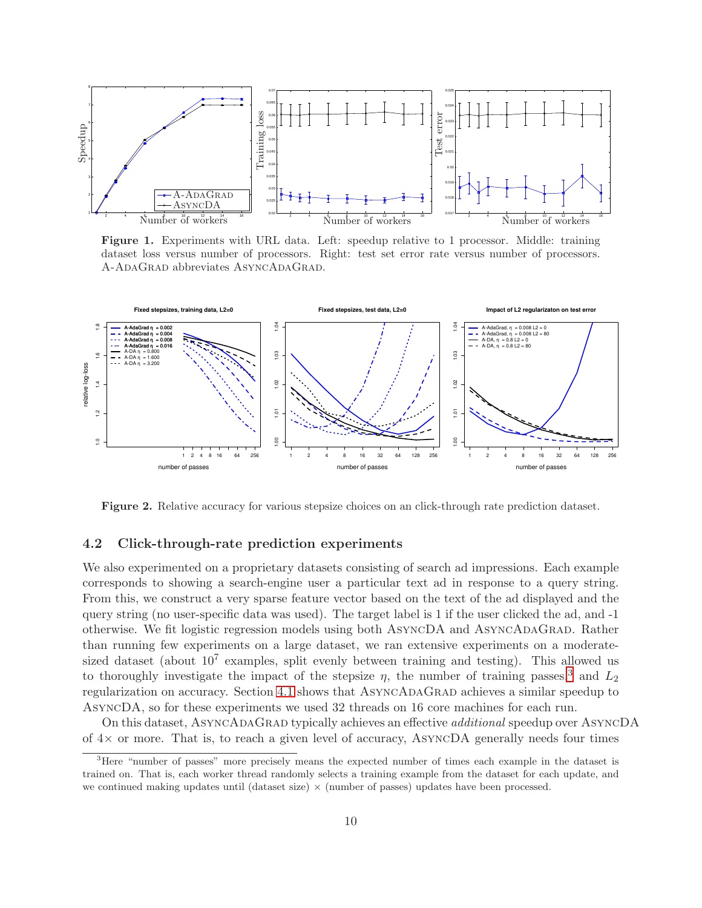

<span id="page-9-0"></span>Figure 1. Experiments with URL data. Left: speedup relative to 1 processor. Middle: training dataset loss versus number of processors. Right: test set error rate versus number of processors. A-ADAGRAD abbreviates ASYNCADAGRAD.



<span id="page-9-2"></span>Figure 2. Relative accuracy for various stepsize choices on an click-through rate prediction dataset.

### 4.2 Click-through-rate prediction experiments

We also experimented on a proprietary datasets consisting of search ad impressions. Each example corresponds to showing a search-engine user a particular text ad in response to a query string. From this, we construct a very sparse feature vector based on the text of the ad displayed and the query string (no user-specific data was used). The target label is 1 if the user clicked the ad, and -1 otherwise. We fit logistic regression models using both ASYNCDA and ASYNCADAGRAD. Rather than running few experiments on a large dataset, we ran extensive experiments on a moderatesized dataset (about  $10^7$  examples, split evenly between training and testing). This allowed us to thoroughly investigate the impact of the stepsize  $\eta$ , the number of training passes,<sup>[3](#page-9-1)</sup> and  $L_2$ regularization on accuracy. Section [4.1](#page-8-1) shows that ASYNCADAGRAD achieves a similar speedup to AsyncDA, so for these experiments we used 32 threads on 16 core machines for each run.

On this dataset, AsyncAdaGrad typically achieves an effective *additional* speedup over AsyncDA of  $4\times$  or more. That is, to reach a given level of accuracy, AsyncDA generally needs four times

<span id="page-9-1"></span><sup>&</sup>lt;sup>3</sup>Here "number of passes" more precisely means the expected number of times each example in the dataset is trained on. That is, each worker thread randomly selects a training example from the dataset for each update, and we continued making updates until (dataset size)  $\times$  (number of passes) updates have been processed.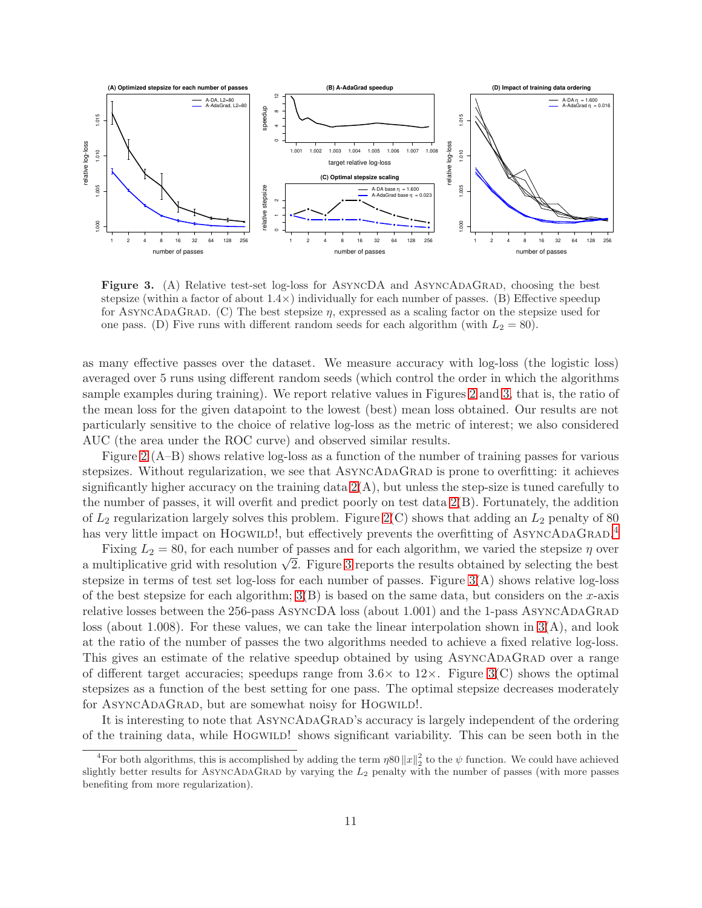

<span id="page-10-0"></span>Figure 3. (A) Relative test-set log-loss for ASYNCDA and ASYNCADAGRAD, choosing the best stepsize (within a factor of about  $1.4\times$ ) individually for each number of passes. (B) Effective speedup for ASYNCADAGRAD. (C) The best stepsize  $\eta$ , expressed as a scaling factor on the stepsize used for one pass. (D) Five runs with different random seeds for each algorithm (with  $L_2 = 80$ ).

as many effective passes over the dataset. We measure accuracy with log-loss (the logistic loss) averaged over 5 runs using different random seeds (which control the order in which the algorithms sample examples during training). We report relative values in Figures [2](#page-9-2) and [3,](#page-10-0) that is, the ratio of the mean loss for the given datapoint to the lowest (best) mean loss obtained. Our results are not particularly sensitive to the choice of relative log-loss as the metric of interest; we also considered AUC (the area under the ROC curve) and observed similar results.

Figure [2](#page-9-2) (A–B) shows relative log-loss as a function of the number of training passes for various stepsizes. Without regularization, we see that ASYNCADAGRAD is prone to overfitting: it achieves significantly higher accuracy on the training data  $2(A)$ , but unless the step-size is tuned carefully to the number of passes, it will overfit and predict poorly on test data [2\(](#page-9-2)B). Fortunately, the addition of  $L_2$  regularization largely solves this problem. Figure [2\(](#page-9-2)C) shows that adding an  $L_2$  penalty of 80 has very little impact on HOGWILD!, but effectively prevents the overfitting of ASYNCADAGRAD.<sup>[4](#page-10-1)</sup>

Fixing  $L_2 = 80$ , for each number of passes and for each algorithm, we varied the stepsize  $\eta$  over a multiplicative grid with resolution  $\sqrt{2}$ . Figure [3](#page-10-0) reports the results obtained by selecting the best a multiplicative grid with resolution  $\sqrt{2}$ . stepsize in terms of test set log-loss for each number of passes. Figure  $3(A)$  shows relative log-loss of the best stepsize for each algorithm;  $3(B)$  is based on the same data, but considers on the x-axis relative losses between the 256-pass ASYNCDA loss (about 1.001) and the 1-pass ASYNCADAGRAD loss (about 1.008). For these values, we can take the linear interpolation shown in  $3(A)$ , and look at the ratio of the number of passes the two algorithms needed to achieve a fixed relative log-loss. This gives an estimate of the relative speedup obtained by using ASYNCADAGRAD over a range of different target accuracies; speedups range from  $3.6\times$  to  $12\times$ . Figure [3\(](#page-10-0)C) shows the optimal stepsizes as a function of the best setting for one pass. The optimal stepsize decreases moderately for ASYNCADAGRAD, but are somewhat noisy for HOGWILD!.

It is interesting to note that ASYNCADAGRAD's accuracy is largely independent of the ordering of the training data, while HOGWILD! shows significant variability. This can be seen both in the

<span id="page-10-1"></span><sup>&</sup>lt;sup>4</sup>For both algorithms, this is accomplished by adding the term  $\eta 80 ||x||_2^2$  to the  $\psi$  function. We could have achieved slightly better results for ASYNCADAGRAD by varying the  $L_2$  penalty with the number of passes (with more passes benefiting from more regularization).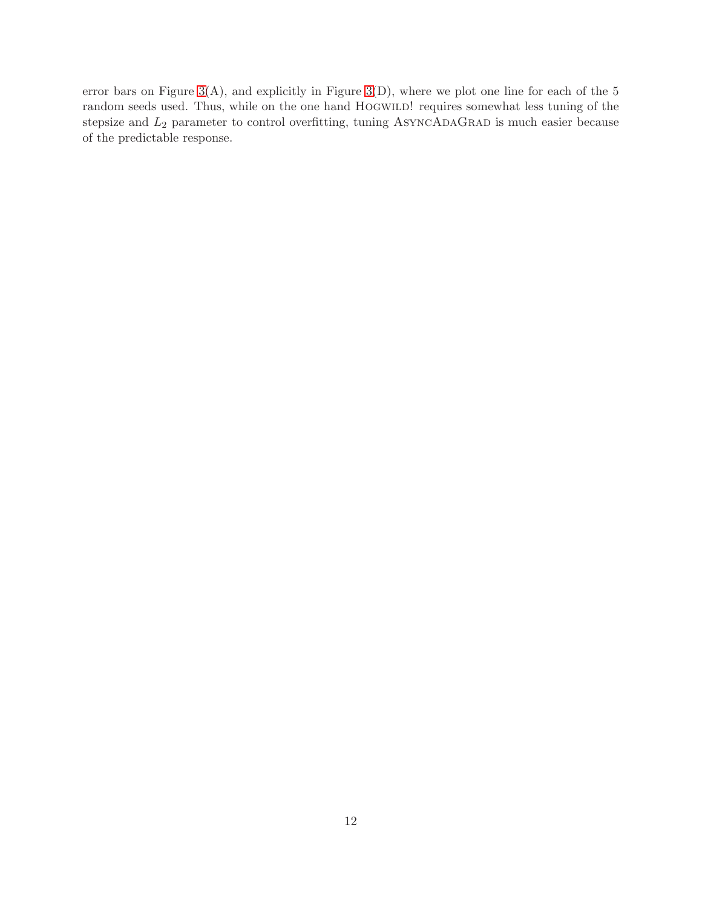error bars on Figure  $3(A)$ , and explicitly in Figure  $3(D)$ , where we plot one line for each of the 5 random seeds used. Thus, while on the one hand HOGWILD! requires somewhat less tuning of the stepsize and  $L_2$  parameter to control overfitting, tuning ASYNCADAGRAD is much easier because of the predictable response.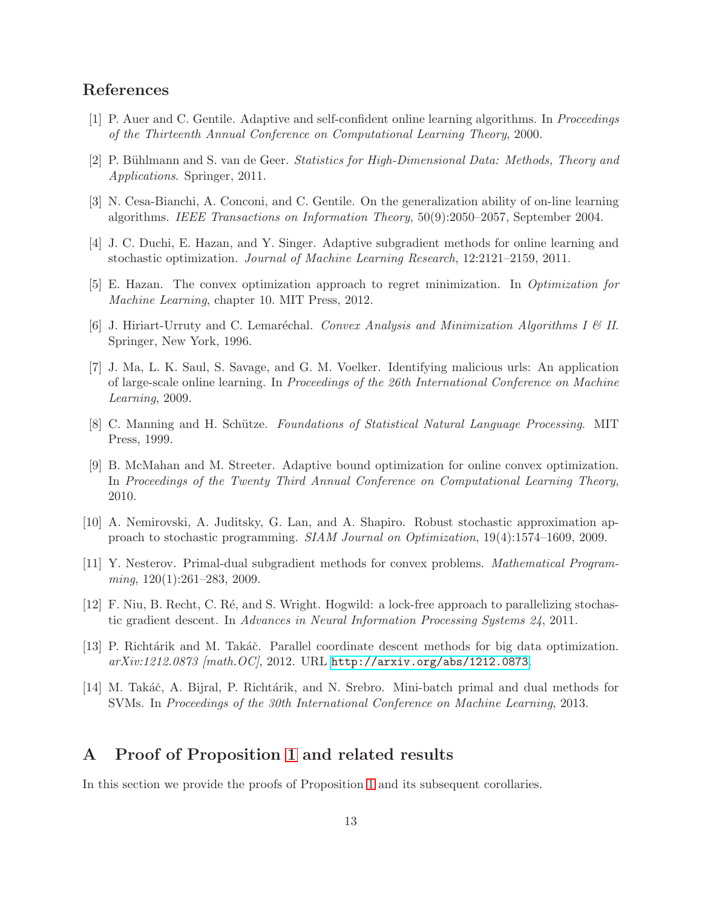# References

- <span id="page-12-13"></span>[1] P. Auer and C. Gentile. Adaptive and self-confident online learning algorithms. In *Proceedings of the Thirteenth Annual Conference on Computational Learning Theory*, 2000.
- <span id="page-12-2"></span>[2] P. B¨uhlmann and S. van de Geer. *Statistics for High-Dimensional Data: Methods, Theory and Applications*. Springer, 2011.
- <span id="page-12-11"></span>[3] N. Cesa-Bianchi, A. Conconi, and C. Gentile. On the generalization ability of on-line learning algorithms. *IEEE Transactions on Information Theory*, 50(9):2050–2057, September 2004.
- <span id="page-12-6"></span>[4] J. C. Duchi, E. Hazan, and Y. Singer. Adaptive subgradient methods for online learning and stochastic optimization. *Journal of Machine Learning Research*, 12:2121–2159, 2011.
- <span id="page-12-10"></span>[5] E. Hazan. The convex optimization approach to regret minimization. In *Optimization for Machine Learning*, chapter 10. MIT Press, 2012.
- <span id="page-12-0"></span>[6] J. Hiriart-Urruty and C. Lemar´echal. *Convex Analysis and Minimization Algorithms I & II*. Springer, New York, 1996.
- <span id="page-12-12"></span>[7] J. Ma, L. K. Saul, S. Savage, and G. M. Voelker. Identifying malicious urls: An application of large-scale online learning. In *Proceedings of the 26th International Conference on Machine Learning*, 2009.
- <span id="page-12-1"></span>[8] C. Manning and H. Schütze. *Foundations of Statistical Natural Language Processing*. MIT Press, 1999.
- <span id="page-12-7"></span>[9] B. McMahan and M. Streeter. Adaptive bound optimization for online convex optimization. In *Proceedings of the Twenty Third Annual Conference on Computational Learning Theory*, 2010.
- <span id="page-12-8"></span>[10] A. Nemirovski, A. Juditsky, G. Lan, and A. Shapiro. Robust stochastic approximation approach to stochastic programming. *SIAM Journal on Optimization*, 19(4):1574–1609, 2009.
- <span id="page-12-9"></span>[11] Y. Nesterov. Primal-dual subgradient methods for convex problems. *Mathematical Programming*, 120(1):261–283, 2009.
- <span id="page-12-3"></span>[12] F. Niu, B. Recht, C. Ré, and S. Wright. Hogwild: a lock-free approach to parallelizing stochastic gradient descent. In *Advances in Neural Information Processing Systems 24*, 2011.
- <span id="page-12-4"></span>[13] P. Richtárik and M. Takáč. Parallel coordinate descent methods for big data optimization. *arXiv:1212.0873 [math.OC]*, 2012. URL <http://arxiv.org/abs/1212.0873>.
- <span id="page-12-5"></span>[14] M. Takáč, A. Bijral, P. Richtárik, and N. Srebro. Mini-batch primal and dual methods for SVMs. In *Proceedings of the 30th International Conference on Machine Learning*, 2013.

# A Proof of Proposition [1](#page-2-0) and related results

In this section we provide the proofs of Proposition [1](#page-2-0) and its subsequent corollaries.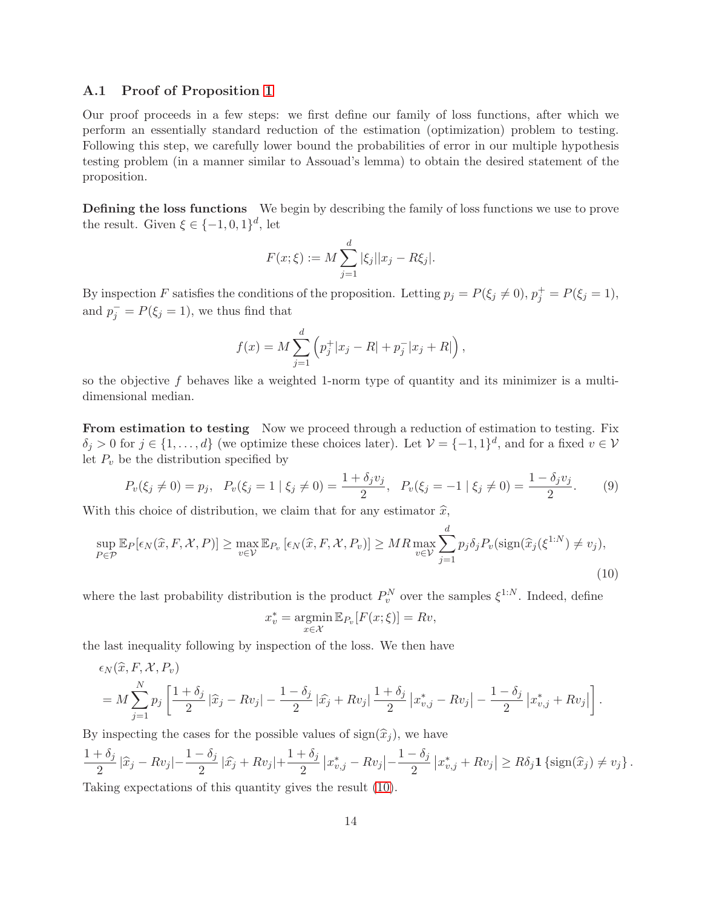### <span id="page-13-0"></span>A.1 Proof of Proposition [1](#page-2-0)

Our proof proceeds in a few steps: we first define our family of loss functions, after which we perform an essentially standard reduction of the estimation (optimization) problem to testing. Following this step, we carefully lower bound the probabilities of error in our multiple hypothesis testing problem (in a manner similar to Assouad's lemma) to obtain the desired statement of the proposition.

Defining the loss functions We begin by describing the family of loss functions we use to prove the result. Given  $\xi \in \{-1,0,1\}^d$ , let

$$
F(x; \xi) := M \sum_{j=1}^{d} |\xi_j| |x_j - R\xi_j|.
$$

By inspection F satisfies the conditions of the proposition. Letting  $p_j = P(\xi_j \neq 0), p_j^+ = P(\xi_j = 1)$ , and  $p_j^- = P(\xi_j = 1)$ , we thus find that

$$
f(x) = M \sum_{j=1}^{d} \left( p_j^+ |x_j - R| + p_j^- |x_j + R| \right),
$$

so the objective f behaves like a weighted 1-norm type of quantity and its minimizer is a multidimensional median.

From estimation to testing Now we proceed through a reduction of estimation to testing. Fix  $\delta_j > 0$  for  $j \in \{1, ..., d\}$  (we optimize these choices later). Let  $\mathcal{V} = \{-1, 1\}^d$ , and for a fixed  $v \in \mathcal{V}$ let  $P_v$  be the distribution specified by

<span id="page-13-2"></span>
$$
P_v(\xi_j \neq 0) = p_j, \quad P_v(\xi_j = 1 \mid \xi_j \neq 0) = \frac{1 + \delta_j v_j}{2}, \quad P_v(\xi_j = -1 \mid \xi_j \neq 0) = \frac{1 - \delta_j v_j}{2}.
$$
 (9)

With this choice of distribution, we claim that for any estimator  $\hat{x}$ ,

$$
\sup_{P \in \mathcal{P}} \mathbb{E}_P[\epsilon_N(\widehat{x}, F, \mathcal{X}, P)] \ge \max_{v \in \mathcal{V}} \mathbb{E}_{P_v}[\epsilon_N(\widehat{x}, F, \mathcal{X}, P_v)] \ge MR \max_{v \in \mathcal{V}} \sum_{j=1}^d p_j \delta_j P_v(\text{sign}(\widehat{x}_j(\xi^{1:N}) \neq v_j),
$$
\n(10)

where the last probability distribution is the product  $P_v^N$  over the samples  $\xi^{1:N}$ . Indeed, define

<span id="page-13-1"></span>
$$
x_v^* = \operatorname*{argmin}_{x \in \mathcal{X}} \mathbb{E}_{P_v}[F(x; \xi)] = Rv,
$$

the last inequality following by inspection of the loss. We then have

$$
\epsilon_N(\hat{x}, F, \mathcal{X}, P_v) = M \sum_{j=1}^N p_j \left[ \frac{1 + \delta_j}{2} |\hat{x}_j - Rv_j| - \frac{1 - \delta_j}{2} |\hat{x}_j + Rv_j| \frac{1 + \delta_j}{2} |x_{v,j}^* - Rv_j| - \frac{1 - \delta_j}{2} |x_{v,j}^* + Rv_j| \right].
$$

By inspecting the cases for the possible values of  $sign(\hat{x}_i)$ , we have

$$
\frac{1+\delta_j}{2}|\widehat{x}_j - Rv_j| - \frac{1-\delta_j}{2}|\widehat{x}_j + Rv_j| + \frac{1+\delta_j}{2}|x_{v,j}^* - Rv_j| - \frac{1-\delta_j}{2}|x_{v,j}^* + Rv_j| \ge R\delta_j \mathbf{1}\left\{\text{sign}(\widehat{x}_j) \neq v_j\right\}.
$$

Taking expectations of this quantity gives the result [\(10\)](#page-13-1).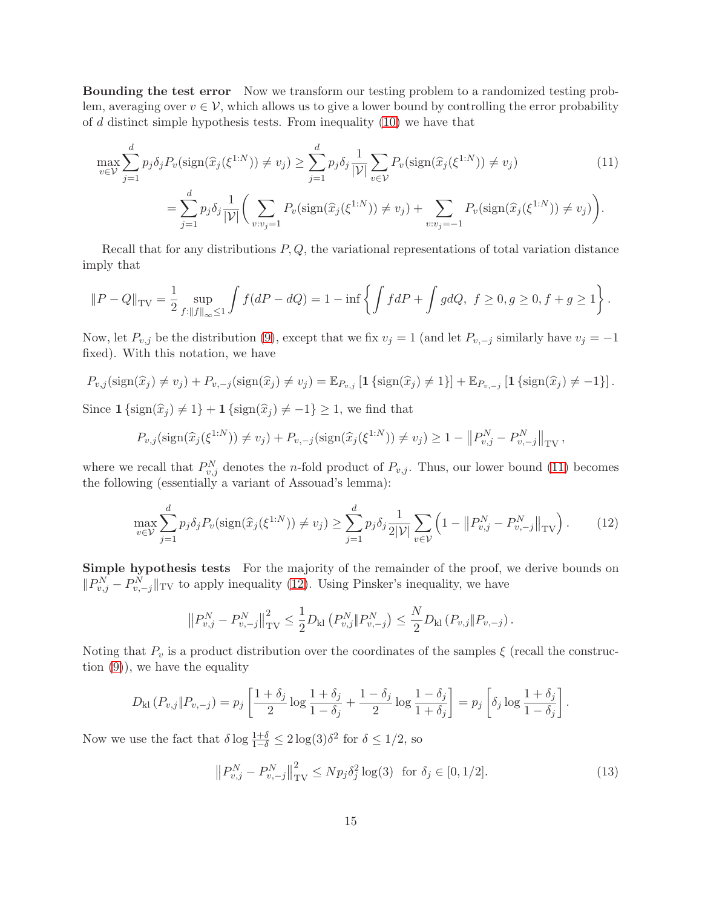Bounding the test error Now we transform our testing problem to a randomized testing problem, averaging over  $v \in V$ , which allows us to give a lower bound by controlling the error probability of  $d$  distinct simple hypothesis tests. From inequality  $(10)$  we have that

<span id="page-14-0"></span>
$$
\max_{v \in \mathcal{V}} \sum_{j=1}^{d} p_j \delta_j P_v(\text{sign}(\widehat{x}_j(\xi^{1:N})) \neq v_j) \ge \sum_{j=1}^{d} p_j \delta_j \frac{1}{|\mathcal{V}|} \sum_{v \in \mathcal{V}} P_v(\text{sign}(\widehat{x}_j(\xi^{1:N})) \neq v_j)
$$
(11)  

$$
= \sum_{j=1}^{d} p_j \delta_j \frac{1}{|\mathcal{V}|} \bigg( \sum_{v:v_j=1} P_v(\text{sign}(\widehat{x}_j(\xi^{1:N})) \neq v_j) + \sum_{v:v_j=-1} P_v(\text{sign}(\widehat{x}_j(\xi^{1:N})) \neq v_j) \bigg).
$$

Recall that for any distributions  $P, Q$ , the variational representations of total variation distance imply that

$$
||P - Q||_{TV} = \frac{1}{2} \sup_{f:||f||_{\infty} \le 1} \int f(dP - dQ) = 1 - \inf \left\{ \int f dP + \int g dQ, \ f \ge 0, g \ge 0, f + g \ge 1 \right\}.
$$

Now, let  $P_{v,j}$  be the distribution [\(9\)](#page-13-2), except that we fix  $v_j = 1$  (and let  $P_{v,-j}$  similarly have  $v_j = -1$ fixed). With this notation, we have

$$
P_{v,j}(\text{sign}(\widehat{x}_j) \neq v_j) + P_{v,-j}(\text{sign}(\widehat{x}_j) \neq v_j) = \mathbb{E}_{P_{v,j}}\left[\mathbf{1}\left\{\text{sign}(\widehat{x}_j) \neq 1\right\}\right] + \mathbb{E}_{P_{v,-j}}\left[\mathbf{1}\left\{\text{sign}(\widehat{x}_j) \neq -1\right\}\right].
$$

Since  $1 \{ \text{sign}(\hat{x}_i) \neq 1 \} + 1 \{ \text{sign}(\hat{x}_i) \neq -1 \} \geq 1$ , we find that

$$
P_{v,j}(\text{sign}(\widehat{x}_j(\xi^{1:N})) \neq v_j) + P_{v,-j}(\text{sign}(\widehat{x}_j(\xi^{1:N})) \neq v_j) \geq 1 - ||P_{v,j}^N - P_{v,-j}^N||_{TV},
$$

where we recall that  $P_{v,j}^N$  denotes the *n*-fold product of  $P_{v,j}$ . Thus, our lower bound [\(11\)](#page-14-0) becomes the following (essentially a variant of Assouad's lemma):

<span id="page-14-1"></span>
$$
\max_{v \in \mathcal{V}} \sum_{j=1}^{d} p_j \delta_j P_v(\text{sign}(\hat{x}_j(\xi^{1:N})) \neq v_j) \ge \sum_{j=1}^{d} p_j \delta_j \frac{1}{2|\mathcal{V}|} \sum_{v \in \mathcal{V}} \left(1 - \left\|P_{v,j}^N - P_{v,-j}^N\right\|_{\text{TV}}\right). \tag{12}
$$

Simple hypothesis tests For the majority of the remainder of the proof, we derive bounds on  $||P_{v,j}^N - P_{v,-j}^N||$ <sub>TV</sub> to apply inequality [\(12\)](#page-14-1). Using Pinsker's inequality, we have

$$
\left\|P_{v,j}^N - P_{v,-j}^N\right\|_{\rm TV}^2 \le \frac{1}{2} D_{\rm kl} \left(P_{v,j}^N \| P_{v,-j}^N\right) \le \frac{N}{2} D_{\rm kl} \left(P_{v,j} \| P_{v,-j}\right).
$$

Noting that  $P_v$  is a product distribution over the coordinates of the samples  $\xi$  (recall the construction  $(9)$ , we have the equality

$$
D_{\mathrm{kl}}\left(P_{v,j} \| P_{v,-j}\right) = p_j \left[ \frac{1+\delta_j}{2} \log \frac{1+\delta_j}{1-\delta_j} + \frac{1-\delta_j}{2} \log \frac{1-\delta_j}{1+\delta_j} \right] = p_j \left[ \delta_j \log \frac{1+\delta_j}{1-\delta_j} \right].
$$

Now we use the fact that  $\delta \log \frac{1+\delta}{1-\delta} \leq 2 \log(3) \delta^2$  for  $\delta \leq 1/2$ , so

<span id="page-14-2"></span>
$$
\left\|P_{v,j}^{N} - P_{v,-j}^{N}\right\|_{\text{TV}}^{2} \le N p_{j} \delta_{j}^{2} \log(3) \quad \text{for } \delta_{j} \in [0, 1/2]. \tag{13}
$$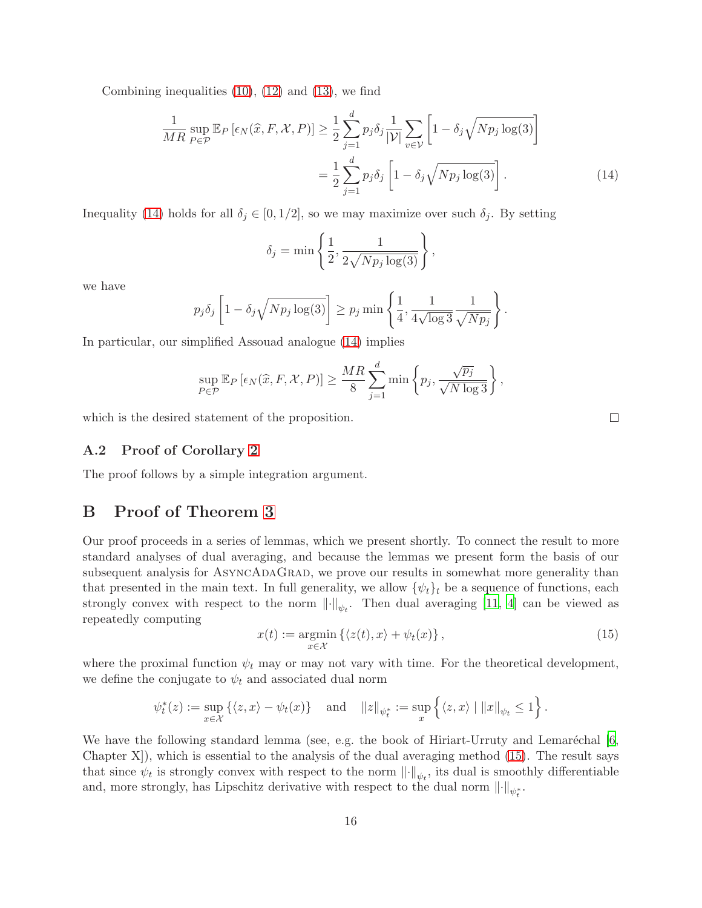Combining inequalities  $(10)$ ,  $(12)$  and  $(13)$ , we find

$$
\frac{1}{MR} \sup_{P \in \mathcal{P}} \mathbb{E}_P \left[ \epsilon_N(\hat{x}, F, \mathcal{X}, P) \right] \ge \frac{1}{2} \sum_{j=1}^d p_j \delta_j \frac{1}{|\mathcal{V}|} \sum_{v \in \mathcal{V}} \left[ 1 - \delta_j \sqrt{N p_j \log(3)} \right]
$$

$$
= \frac{1}{2} \sum_{j=1}^d p_j \delta_j \left[ 1 - \delta_j \sqrt{N p_j \log(3)} \right]. \tag{14}
$$

Inequality [\(14\)](#page-15-1) holds for all  $\delta_i \in [0, 1/2]$ , so we may maximize over such  $\delta_i$ . By setting

$$
\delta_j = \min\left\{\frac{1}{2}, \frac{1}{2\sqrt{Np_j\log(3)}}\right\},\,
$$

we have

$$
p_j \delta_j \left[ 1 - \delta_j \sqrt{N p_j \log(3)} \right] \ge p_j \min \left\{ \frac{1}{4}, \frac{1}{4 \sqrt{\log 3}} \frac{1}{\sqrt{N p_j}} \right\}.
$$

In particular, our simplified Assouad analogue [\(14\)](#page-15-1) implies

$$
\sup_{P \in \mathcal{P}} \mathbb{E}_P \left[ \epsilon_N(\widehat{x}, F, \mathcal{X}, P) \right] \ge \frac{MR}{8} \sum_{j=1}^d \min \left\{ p_j, \frac{\sqrt{p_j}}{\sqrt{N \log 3}} \right\},\,
$$

which is the desired statement of the proposition.

### A.2 Proof of Corollary [2](#page-2-2)

<span id="page-15-0"></span>The proof follows by a simple integration argument.

# B Proof of Theorem [3](#page-5-4)

Our proof proceeds in a series of lemmas, which we present shortly. To connect the result to more standard analyses of dual averaging, and because the lemmas we present form the basis of our subsequent analysis for ASYNCADAGRAD, we prove our results in somewhat more generality than that presented in the main text. In full generality, we allow  $\{\psi_t\}_t$  be a sequence of functions, each strongly convex with respect to the norm  $\lVert \cdot \rVert_{\psi_t}$ . Then dual averaging [\[11,](#page-12-9) [4](#page-12-6)] can be viewed as repeatedly computing

<span id="page-15-2"></span>
$$
x(t) := \underset{x \in \mathcal{X}}{\operatorname{argmin}} \left\{ \langle z(t), x \rangle + \psi_t(x) \right\},\tag{15}
$$

where the proximal function  $\psi_t$  may or may not vary with time. For the theoretical development, we define the conjugate to  $\psi_t$  and associated dual norm

$$
\psi_t^*(z) := \sup_{x \in \mathcal{X}} \left\{ \langle z, x \rangle - \psi_t(x) \right\} \quad \text{and} \quad ||z||_{\psi_t^*} := \sup_x \left\{ \langle z, x \rangle \mid ||x||_{\psi_t} \le 1 \right\}.
$$

We have the following standard lemma (see, e.g. the book of Hiriart-Urruty and Lemaréchal  $[6,$ Chapter  $X$ ), which is essential to the analysis of the dual averaging method  $(15)$ . The result says that since  $\psi_t$  is strongly convex with respect to the norm  $\lVert \cdot \rVert_{\psi_t}$ , its dual is smoothly differentiable and, more strongly, has Lipschitz derivative with respect to the dual norm  $\lVert \cdot \rVert_{\psi_t^*}$ .

<span id="page-15-1"></span> $\Box$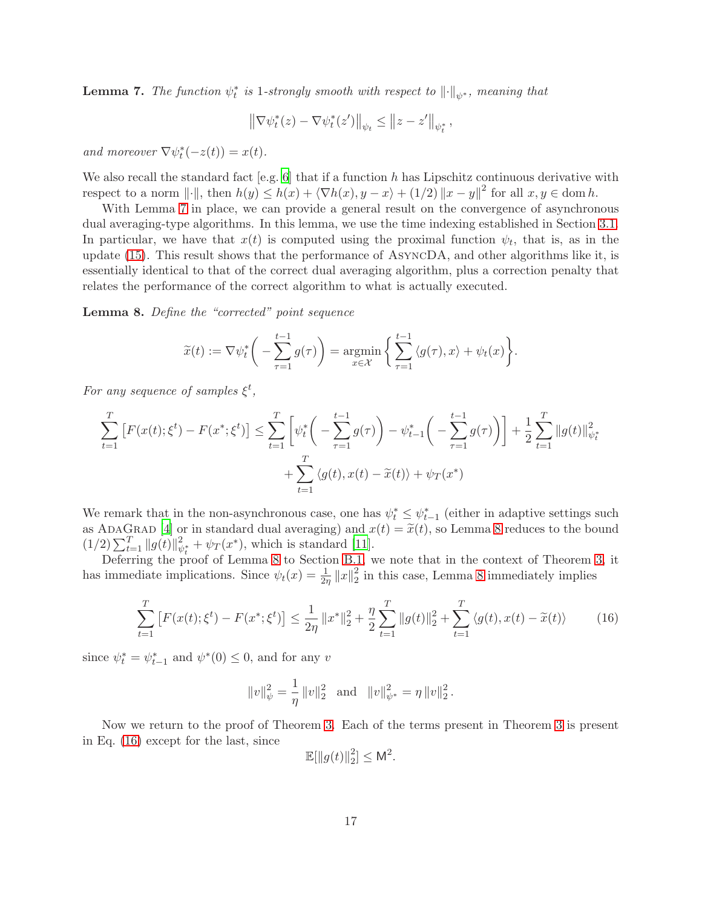<span id="page-16-0"></span>**Lemma 7.** The function  $\psi_t^*$  is 1-strongly smooth with respect to  $\|\cdot\|_{\psi^*}$ , meaning that

$$
\left\|\nabla\psi_t^*(z)-\nabla\psi_t^*(z')\right\|_{\psi_t}\leq \left\|z-z'\right\|_{\psi_t^*},
$$

and moreover  $\nabla \psi_t^*(-z(t)) = x(t)$ *.* 

We also recall the standard fact [e.g. [6\]](#page-12-0) that if a function  $h$  has Lipschitz continuous derivative with respect to a norm  $\|\cdot\|$ , then  $h(y) \leq h(x) + \langle \nabla h(x), y - x \rangle + (1/2) \|x - y\|^2$  for all  $x, y \in \text{dom } h$ .

With Lemma [7](#page-16-0) in place, we can provide a general result on the convergence of asynchronous dual averaging-type algorithms. In this lemma, we use the time indexing established in Section [3.1.](#page-5-5) In particular, we have that  $x(t)$  is computed using the proximal function  $\psi_t$ , that is, as in the update [\(15\)](#page-15-2). This result shows that the performance of AsyncDA, and other algorithms like it, is essentially identical to that of the correct dual averaging algorithm, plus a correction penalty that relates the performance of the correct algorithm to what is actually executed.

<span id="page-16-1"></span>Lemma 8. *Define the "corrected" point sequence*

$$
\widetilde{x}(t) := \nabla \psi_t^* \bigg( - \sum_{\tau=1}^{t-1} g(\tau) \bigg) = \underset{x \in \mathcal{X}}{\operatorname{argmin}} \bigg\{ \sum_{\tau=1}^{t-1} \langle g(\tau), x \rangle + \psi_t(x) \bigg\}.
$$

*For any sequence of samples*  $\xi^t$ ,

$$
\sum_{t=1}^{T} \left[ F(x(t); \xi^t) - F(x^*; \xi^t) \right] \le \sum_{t=1}^{T} \left[ \psi_t^* \left( - \sum_{\tau=1}^{t-1} g(\tau) \right) - \psi_{t-1}^* \left( - \sum_{\tau=1}^{t-1} g(\tau) \right) \right] + \frac{1}{2} \sum_{t=1}^{T} \|g(t)\|_{\psi_t^*}^2 + \sum_{t=1}^{T} \langle g(t), x(t) - \tilde{x}(t) \rangle + \psi_T(x^*)
$$

We remark that in the non-asynchronous case, one has  $\psi_t^* \leq \psi_{t-1}^*$  (either in adaptive settings such as ADAGRAD [\[4](#page-12-6)] or in standard dual averaging) and  $x(t) = \tilde{x}(t)$ , so Lemma [8](#page-16-1) reduces to the bound  $(1/2) \sum_{t=1}^{T} ||g(t)||_{\psi_t^*}^2 + \psi_T(x^*),$  which is standard [\[11\]](#page-12-9).

Deferring the proof of Lemma [8](#page-16-1) to Section [B.1,](#page-17-0) we note that in the context of Theorem [3,](#page-5-4) it has immediate implications. Since  $\psi_t(x) = \frac{1}{2\eta} ||x||_2^2$  $\frac{2}{2}$  in this case, Lemma [8](#page-16-1) immediately implies

<span id="page-16-2"></span>
$$
\sum_{t=1}^{T} \left[ F(x(t); \xi^t) - F(x^*; \xi^t) \right] \le \frac{1}{2\eta} \|x^*\|_2^2 + \frac{\eta}{2} \sum_{t=1}^{T} \|g(t)\|_2^2 + \sum_{t=1}^{T} \langle g(t), x(t) - \tilde{x}(t) \rangle \tag{16}
$$

since  $\psi_t^* = \psi_{t-1}^*$  and  $\psi^*(0) \leq 0$ , and for any v

$$
||v||_{\psi}^{2} = \frac{1}{\eta} ||v||_{2}^{2}
$$
 and  $||v||_{\psi^{*}}^{2} = \eta ||v||_{2}^{2}$ .

Now we return to the proof of Theorem [3.](#page-5-4) Each of the terms present in Theorem [3](#page-5-4) is present in Eq. [\(16\)](#page-16-2) except for the last, since

$$
\mathbb{E}[\|g(t)\|_2^2] \leq \mathsf{M}^2.
$$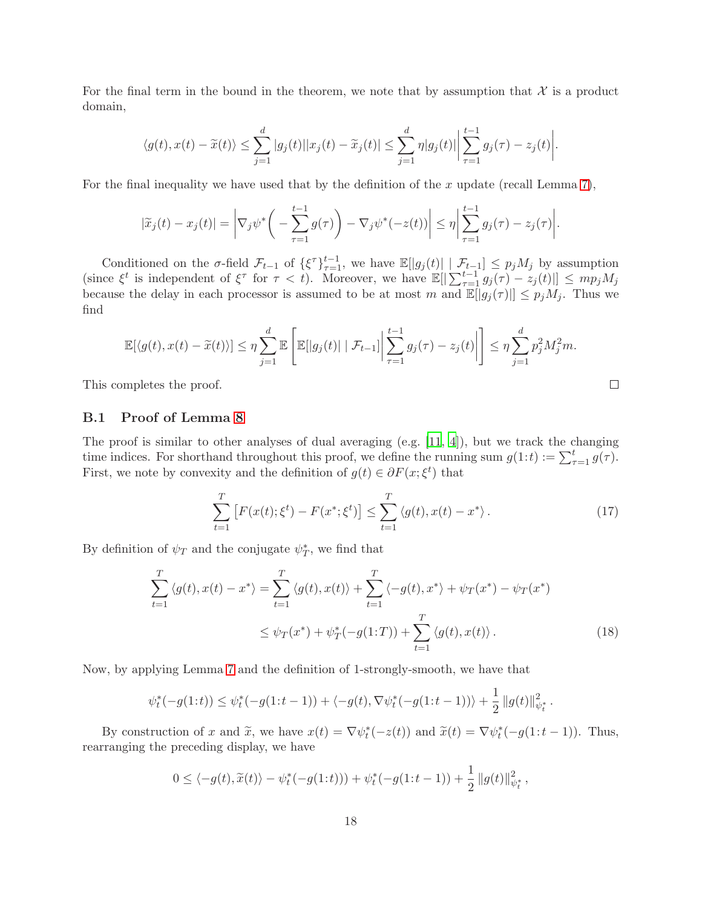For the final term in the bound in the theorem, we note that by assumption that  $\mathcal X$  is a product domain,

$$
\langle g(t), x(t)-\widetilde{x}(t)\rangle \leq \sum_{j=1}^d |g_j(t)||x_j(t)-\widetilde{x}_j(t)| \leq \sum_{j=1}^d \eta |g_j(t)| \left|\sum_{\tau=1}^{t-1} g_j(\tau)-z_j(t)\right|.
$$

For the final inequality we have used that by the definition of the  $x$  update (recall Lemma [7\)](#page-16-0),

$$
|\widetilde{x}_j(t)-x_j(t)| = \left|\nabla_j \psi^*\bigg(-\sum_{\tau=1}^{t-1} g(\tau)\bigg) - \nabla_j \psi^*(-z(t))\right| \leq \eta \left|\sum_{\tau=1}^{t-1} g_j(\tau) - z_j(\tau)\right|.
$$

Conditioned on the  $\sigma$ -field  $\mathcal{F}_{t-1}$  of  $\{\xi^{\tau}\}_{\tau=1}^{t-1}$ , we have  $\mathbb{E}[|g_j(t)| \mid \mathcal{F}_{t-1}] \leq p_j M_j$  by assumption (since  $\xi^t$  is independent of  $\xi^{\tau}$  for  $\tau < t$ ). Moreover, we have  $\mathbb{E}[|\sum_{\tau=1}^{t-1} g_j(\tau) - z_j(t)|] \leq mp_j M_j$ because the delay in each processor is assumed to be at most m and  $\mathbb{E}[|g_j(\tau)|] \leq p_j M_j$ . Thus we find

$$
\mathbb{E}[\langle g(t), x(t) - \widetilde{x}(t) \rangle] \leq \eta \sum_{j=1}^d \mathbb{E}\left[\mathbb{E}[|g_j(t)| \mid \mathcal{F}_{t-1}]\bigg| \sum_{\tau=1}^{t-1} g_j(\tau) - z_j(t)\bigg|\right] \leq \eta \sum_{j=1}^d p_j^2 M_j^2 m.
$$

This completes the proof.

### <span id="page-17-0"></span>B.1 Proof of Lemma [8](#page-16-1)

The proof is similar to other analyses of dual averaging (e.g.  $[11, 4]$  $[11, 4]$ ), but we track the changing time indices. For shorthand throughout this proof, we define the running sum  $g(1:t) := \sum_{\tau=1}^{t} g(\tau)$ . First, we note by convexity and the definition of  $g(t) \in \partial F(x; \xi^t)$  that

<span id="page-17-2"></span>
$$
\sum_{t=1}^{T} \left[ F(x(t); \xi^t) - F(x^*; \xi^t) \right] \le \sum_{t=1}^{T} \langle g(t), x(t) - x^* \rangle.
$$
 (17)

By definition of  $\psi_T$  and the conjugate  $\psi_T^*$ , we find that

$$
\sum_{t=1}^{T} \langle g(t), x(t) - x^* \rangle = \sum_{t=1}^{T} \langle g(t), x(t) \rangle + \sum_{t=1}^{T} \langle -g(t), x^* \rangle + \psi_T(x^*) - \psi_T(x^*)
$$
  
 
$$
\leq \psi_T(x^*) + \psi_T^*(-g(1:T)) + \sum_{t=1}^{T} \langle g(t), x(t) \rangle.
$$
 (18)

Now, by applying Lemma [7](#page-16-0) and the definition of 1-strongly-smooth, we have that

$$
\psi_t^*(-g(1:t)) \le \psi_t^*(-g(1:t-1)) + \langle -g(t), \nabla \psi_t^*(-g(1:t-1)) \rangle + \frac{1}{2} ||g(t)||_{\psi_t^*}^2.
$$

By construction of x and  $\tilde{x}$ , we have  $x(t) = \nabla \psi_t^*(-z(t))$  and  $\tilde{x}(t) = \nabla \psi_t^*(-g(1:t-1))$ . Thus, rearranging the preceding display, we have

$$
0 \le \langle -g(t), \widetilde{x}(t) \rangle - \psi_t^*(-g(1:t))) + \psi_t^*(-g(1:t-1)) + \frac{1}{2} ||g(t)||_{\psi_t^*}^2,
$$

<span id="page-17-1"></span>
$$
\qquad \qquad \Box
$$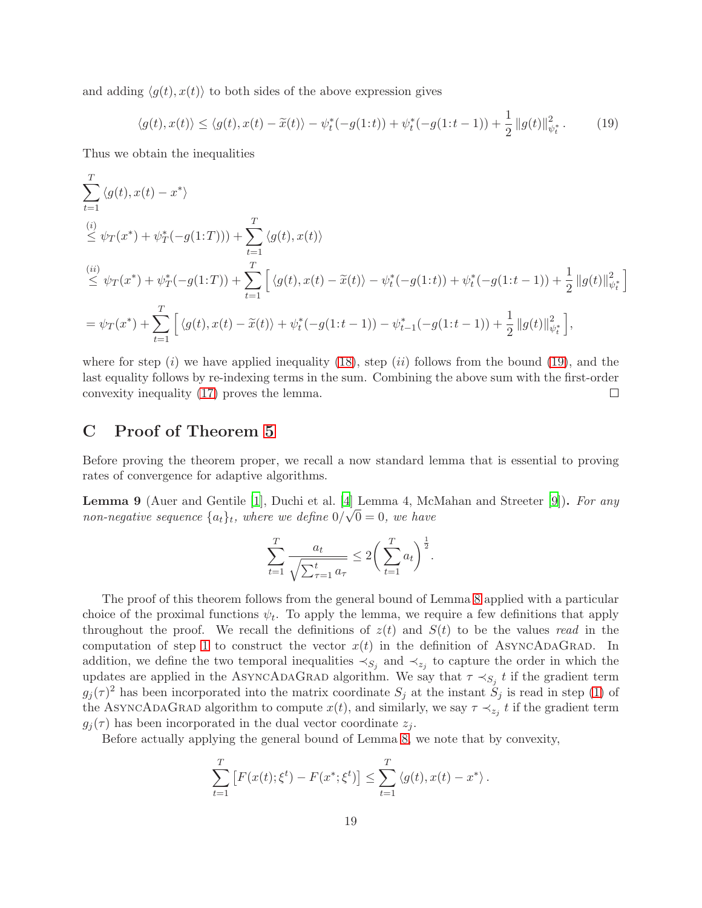and adding  $\langle g(t), x(t) \rangle$  to both sides of the above expression gives

<span id="page-18-1"></span>
$$
\langle g(t), x(t) \rangle \le \langle g(t), x(t) - \tilde{x}(t) \rangle - \psi_t^*(-g(1:t)) + \psi_t^*(-g(1:t-1)) + \frac{1}{2} \|g(t)\|_{\psi_t^*}^2. \tag{19}
$$

Thus we obtain the inequalities

$$
\sum_{t=1}^{T} \langle g(t), x(t) - x^* \rangle
$$
\n
$$
\leq \psi_T(x^*) + \psi_T^*(-g(1:T))) + \sum_{t=1}^{T} \langle g(t), x(t) \rangle
$$
\n
$$
\stackrel{(ii)}{\leq} \psi_T(x^*) + \psi_T^*(-g(1:T)) + \sum_{t=1}^{T} \left[ \langle g(t), x(t) - \tilde{x}(t) \rangle - \psi_t^*(-g(1:t)) + \psi_t^*(-g(1:t-1)) + \frac{1}{2} ||g(t)||_{\psi_t^*}^2 \right]
$$
\n
$$
= \psi_T(x^*) + \sum_{t=1}^{T} \left[ \langle g(t), x(t) - \tilde{x}(t) \rangle + \psi_t^*(-g(1:t-1)) - \psi_{t-1}^*(-g(1:t-1)) + \frac{1}{2} ||g(t)||_{\psi_t^*}^2 \right],
$$

where for step  $(i)$  we have applied inequality [\(18\)](#page-17-1), step  $(ii)$  follows from the bound [\(19\)](#page-18-1), and the last equality follows by re-indexing terms in the sum. Combining the above sum with the first-order convexity inequality [\(17\)](#page-17-2) proves the lemma.  $\Box$ 

# <span id="page-18-0"></span>C Proof of Theorem [5](#page-7-1)

Before proving the theorem proper, we recall a now standard lemma that is essential to proving rates of convergence for adaptive algorithms.

<span id="page-18-2"></span>Lemma 9 (Auer and Gentile [\[1\]](#page-12-13), Duchi et al. [\[4](#page-12-6)] Lemma 4, McMahan and Streeter [\[9\]](#page-12-7)). *For any non-negative sequence*  $\{a_t\}_t$ *, where we define*  $0/\sqrt{0} = 0$ *, we have* 

$$
\sum_{t=1}^{T} \frac{a_t}{\sqrt{\sum_{\tau=1}^t a_{\tau}}} \le 2\bigg(\sum_{t=1}^{T} a_t\bigg)^{\frac{1}{2}}.
$$

The proof of this theorem follows from the general bound of Lemma [8](#page-16-1) applied with a particular choice of the proximal functions  $\psi_t$ . To apply the lemma, we require a few definitions that apply throughout the proof. We recall the definitions of  $z(t)$  and  $S(t)$  to be the values *read* in the computation of step [1](#page-6-2) to construct the vector  $x(t)$  in the definition of ASYNCADAGRAD. In addition, we define the two temporal inequalities  $\prec_{S_j}$  and  $\prec_{z_j}$  to capture the order in which the updates are applied in the ASYNCADAGRAD algorithm. We say that  $\tau \prec_{S_j} t$  if the gradient term  $g_j(\tau)^2$  has been incorporated into the matrix coordinate  $S_j$  at the instant  $S_j$  is read in step [\(1\)](#page-6-2) of the ASYNCADAGRAD algorithm to compute  $x(t)$ , and similarly, we say  $\tau \prec_{z_j} t$  if the gradient term  $g_i(\tau)$  has been incorporated in the dual vector coordinate  $z_i$ .

Before actually applying the general bound of Lemma [8,](#page-16-1) we note that by convexity,

$$
\sum_{t=1}^{T} [F(x(t); \xi^t) - F(x^*; \xi^t)] \leq \sum_{t=1}^{T} \langle g(t), x(t) - x^* \rangle.
$$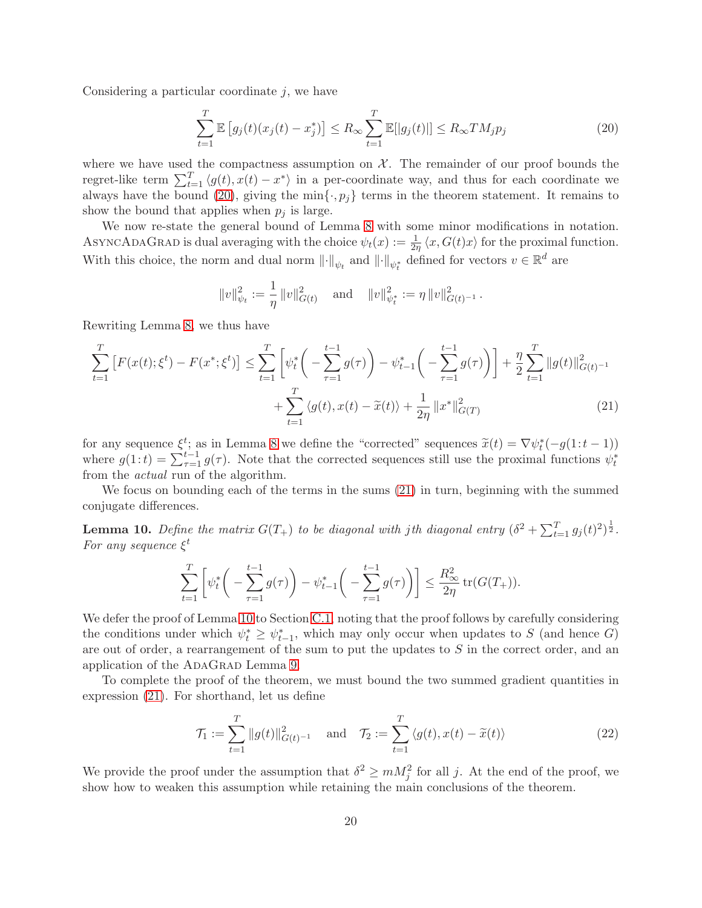Considering a particular coordinate  $j$ , we have

<span id="page-19-0"></span>
$$
\sum_{t=1}^{T} \mathbb{E}\left[g_j(t)(x_j(t) - x_j^*)\right] \le R_\infty \sum_{t=1}^{T} \mathbb{E}[\left|g_j(t)\right|] \le R_\infty TM_j p_j \tag{20}
$$

where we have used the compactness assumption on  $\mathcal{X}$ . The remainder of our proof bounds the regret-like term  $\sum_{t=1}^{T} \langle g(t), x(t) - x^* \rangle$  in a per-coordinate way, and thus for each coordinate we always have the bound [\(20\)](#page-19-0), giving the min $\{\cdot, p_j\}$  terms in the theorem statement. It remains to show the bound that applies when  $p_i$  is large.

We now re-state the general bound of Lemma [8](#page-16-1) with some minor modifications in notation. ASYNCADAGRAD is dual averaging with the choice  $\psi_t(x) := \frac{1}{2\eta} \langle x, G(t)x \rangle$  for the proximal function. With this choice, the norm and dual norm  $\|\cdot\|_{\psi_t}$  and  $\|\cdot\|_{\psi_t^*}$  defined for vectors  $v \in \mathbb{R}^d$  are

<span id="page-19-1"></span>
$$
||v||_{\psi_t}^2 := \frac{1}{\eta} ||v||_{G(t)}^2 \quad \text{and} \quad ||v||_{\psi_t^*}^2 := \eta ||v||_{G(t)^{-1}}^2.
$$

Rewriting Lemma [8,](#page-16-1) we thus have

$$
\sum_{t=1}^{T} \left[ F(x(t); \xi^t) - F(x^*; \xi^t) \right] \le \sum_{t=1}^{T} \left[ \psi_t^* \left( -\sum_{\tau=1}^{t-1} g(\tau) \right) - \psi_{t-1}^* \left( -\sum_{\tau=1}^{t-1} g(\tau) \right) \right] + \frac{\eta}{2} \sum_{t=1}^{T} \|g(t)\|_{G(t)^{-1}}^2 + \sum_{t=1}^{T} \langle g(t), x(t) - \tilde{x}(t) \rangle + \frac{1}{2\eta} \|x^*\|_{G(T)}^2 \tag{21}
$$

for any sequence  $\xi^t$ ; as in Lemma [8](#page-16-1) we define the "corrected" sequences  $\tilde{x}(t) = \nabla \psi_t^*(-g(1:t-1))$ where  $g(1:t) = \sum_{\tau=1}^{t-1} g(\tau)$ . Note that the corrected sequences still use the proximal functions  $\psi_t^*$ from the *actual* run of the algorithm.

We focus on bounding each of the terms in the sums [\(21\)](#page-19-1) in turn, beginning with the summed conjugate differences.

<span id="page-19-2"></span>**Lemma 10.** Define the matrix  $G(T_+)$  to be diagonal with jth diagonal entry  $(\delta^2 + \sum_{t=1}^T g_j(t)^2)^{\frac{1}{2}}$ . *For any sequence* ξ t

$$
\sum_{t=1}^T \left[ \psi_t^* \left( - \sum_{\tau=1}^{t-1} g(\tau) \right) - \psi_{t-1}^* \left( - \sum_{\tau=1}^{t-1} g(\tau) \right) \right] \le \frac{R_\infty^2}{2\eta} \operatorname{tr}(G(T_+)).
$$

We defer the proof of Lemma [10](#page-19-2) to Section [C.1,](#page-21-0) noting that the proof follows by carefully considering the conditions under which  $\psi_t^* \geq \psi_{t-1}^*$ , which may only occur when updates to S (and hence G) are out of order, a rearrangement of the sum to put the updates to  $S$  in the correct order, and an application of the ADAGRAD Lemma [9.](#page-18-2)

To complete the proof of the theorem, we must bound the two summed gradient quantities in expression [\(21\)](#page-19-1). For shorthand, let us define

<span id="page-19-3"></span>
$$
\mathcal{T}_1 := \sum_{t=1}^T \|g(t)\|_{G(t)^{-1}}^2 \quad \text{and} \quad \mathcal{T}_2 := \sum_{t=1}^T \langle g(t), x(t) - \widetilde{x}(t) \rangle \tag{22}
$$

We provide the proof under the assumption that  $\delta^2 \geq m M_j^2$  for all j. At the end of the proof, we show how to weaken this assumption while retaining the main conclusions of the theorem.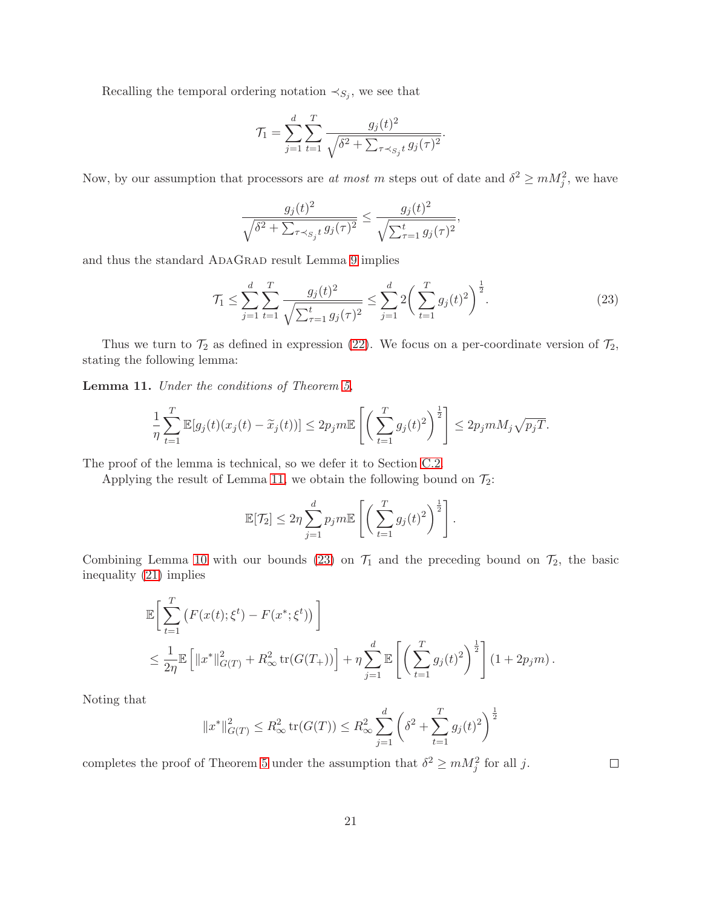Recalling the temporal ordering notation  $\prec_{S_j}$ , we see that

$$
\mathcal{T}_1 = \sum_{j=1}^d \sum_{t=1}^T \frac{g_j(t)^2}{\sqrt{\delta^2 + \sum_{\tau \prec s_j t} g_j(\tau)^2}}.
$$

Now, by our assumption that processors are *at most* m steps out of date and  $\delta^2 \geq m M_j^2$ , we have

$$
\frac{g_j(t)^2}{\sqrt{\delta^2 + \sum_{\tau \prec_{S_j} t} g_j(\tau)^2}} \le \frac{g_j(t)^2}{\sqrt{\sum_{\tau=1}^t g_j(\tau)^2}},
$$

and thus the standard ADAGRAD result Lemma [9](#page-18-2) implies

<span id="page-20-1"></span>
$$
\mathcal{T}_1 \le \sum_{j=1}^d \sum_{t=1}^T \frac{g_j(t)^2}{\sqrt{\sum_{\tau=1}^t g_j(\tau)^2}} \le \sum_{j=1}^d 2\left(\sum_{t=1}^T g_j(t)^2\right)^{\frac{1}{2}}.\tag{23}
$$

Thus we turn to  $\mathcal{T}_2$  as defined in expression [\(22\)](#page-19-3). We focus on a per-coordinate version of  $\mathcal{T}_2$ , stating the following lemma:

<span id="page-20-0"></span>Lemma 11. *Under the conditions of Theorem [5,](#page-7-1)*

$$
\frac{1}{\eta} \sum_{t=1}^T \mathbb{E}[g_j(t)(x_j(t) - \widetilde{x}_j(t))] \le 2p_j m \mathbb{E}\left[\left(\sum_{t=1}^T g_j(t)^2\right)^{\frac{1}{2}}\right] \le 2p_j m M_j \sqrt{p_j T}.
$$

The proof of the lemma is technical, so we defer it to Section [C.2.](#page-22-0)

Applying the result of Lemma [11,](#page-20-0) we obtain the following bound on  $\mathcal{T}_2$ :

$$
\mathbb{E}[\mathcal{T}_2] \leq 2\eta \sum_{j=1}^d p_j m \mathbb{E}\left[\left(\sum_{t=1}^T g_j(t)^2\right)^{\frac{1}{2}}\right].
$$

Combining Lemma [10](#page-19-2) with our bounds [\(23\)](#page-20-1) on  $\mathcal{T}_1$  and the preceding bound on  $\mathcal{T}_2$ , the basic inequality [\(21\)](#page-19-1) implies

$$
\mathbb{E}\bigg[\sum_{t=1}^T \left(F(x(t);\xi^t) - F(x^*;\xi^t)\right)\bigg] \n\leq \frac{1}{2\eta} \mathbb{E}\left[\|x^*\|_{G(T)}^2 + R_{\infty}^2 \operatorname{tr}(G(T_+))\right] + \eta \sum_{j=1}^d \mathbb{E}\left[\left(\sum_{t=1}^T g_j(t)^2\right)^{\frac{1}{2}}\right] (1+2p_j m).
$$

Noting that

$$
||x^*||_{G(T)}^2 \le R_\infty^2 \operatorname{tr}(G(T)) \le R_\infty^2 \sum_{j=1}^d \left( \delta^2 + \sum_{t=1}^T g_j(t)^2 \right)^{\frac{1}{2}}
$$

completes the proof of Theorem [5](#page-7-1) under the assumption that  $\delta^2 \geq m M_j^2$  for all j.

 $\Box$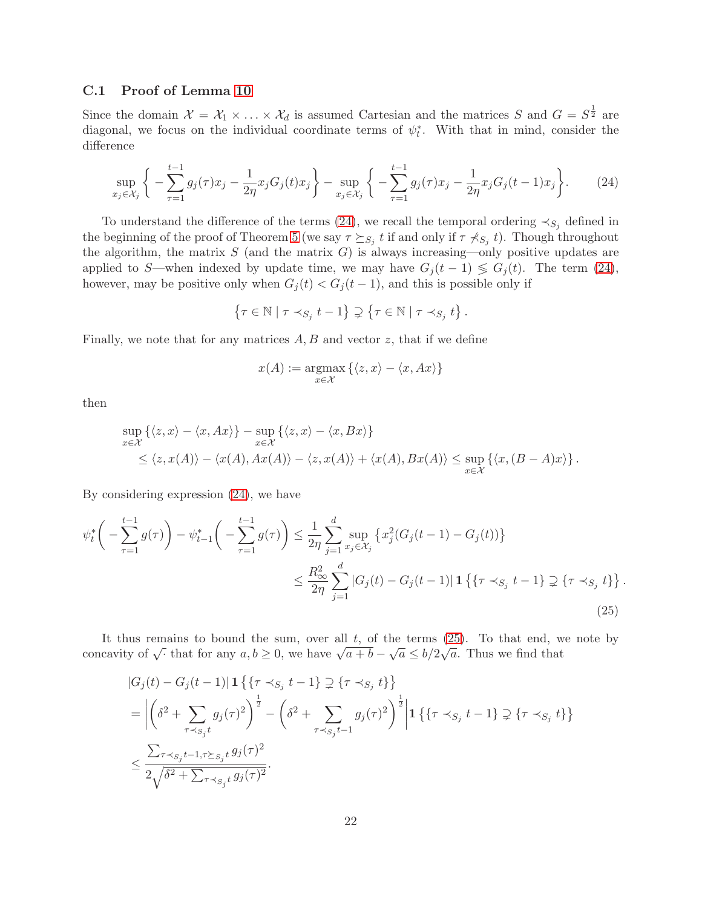### <span id="page-21-0"></span>C.1 Proof of Lemma [10](#page-19-2)

Since the domain  $\mathcal{X} = \mathcal{X}_1 \times \ldots \times \mathcal{X}_d$  is assumed Cartesian and the matrices S and  $G = S^{\frac{1}{2}}$  are diagonal, we focus on the individual coordinate terms of  $\psi_t^*$ . With that in mind, consider the difference

<span id="page-21-1"></span>
$$
\sup_{x_j \in \mathcal{X}_j} \left\{ -\sum_{\tau=1}^{t-1} g_j(\tau) x_j - \frac{1}{2\eta} x_j G_j(t) x_j \right\} - \sup_{x_j \in \mathcal{X}_j} \left\{ -\sum_{\tau=1}^{t-1} g_j(\tau) x_j - \frac{1}{2\eta} x_j G_j(t-1) x_j \right\}.
$$
 (24)

To understand the difference of the terms [\(24\)](#page-21-1), we recall the temporal ordering  $\prec_{S_i}$  defined in the beginning of the proof of Theorem [5](#page-7-1) (we say  $\tau \succeq_{S_j} t$  if and only if  $\tau \nprec_{S_j} t$ ). Though throughout the algorithm, the matrix  $S$  (and the matrix  $G$ ) is always increasing—only positive updates are applied to S—when indexed by update time, we may have  $G_j(t-1) \leq G_j(t)$ . The term [\(24\)](#page-21-1), however, may be positive only when  $G_j(t) < G_j(t-1)$ , and this is possible only if

$$
\left\{\tau\in\mathbb{N}\mid\tau\prec_{S_j}t-1\right\}\supsetneq\left\{\tau\in\mathbb{N}\mid\tau\prec_{S_j}t\right\}.
$$

Finally, we note that for any matrices  $A, B$  and vector  $z$ , that if we define

<span id="page-21-2"></span>
$$
x(A) := \operatorname*{argmax}_{x \in \mathcal{X}} \left\{ \langle z, x \rangle - \langle x, Ax \rangle \right\}
$$

then

$$
\sup_{x \in \mathcal{X}} \left\{ \langle z, x \rangle - \langle x, Ax \rangle \right\} - \sup_{x \in \mathcal{X}} \left\{ \langle z, x \rangle - \langle x, Bx \rangle \right\} \n\leq \langle z, x(A) \rangle - \langle x(A), Ax(A) \rangle - \langle z, x(A) \rangle + \langle x(A), Bx(A) \rangle \leq \sup_{x \in \mathcal{X}} \left\{ \langle x, (B - A)x \rangle \right\}.
$$

By considering expression [\(24\)](#page-21-1), we have

$$
\psi_t^* \left( - \sum_{\tau=1}^{t-1} g(\tau) \right) - \psi_{t-1}^* \left( - \sum_{\tau=1}^{t-1} g(\tau) \right) \le \frac{1}{2\eta} \sum_{j=1}^d \sup_{x_j \in \mathcal{X}_j} \left\{ x_j^2 (G_j(t-1) - G_j(t)) \right\}
$$
  

$$
\le \frac{R_{\infty}^2}{2\eta} \sum_{j=1}^d |G_j(t) - G_j(t-1)| \mathbf{1} \left\{ \{ \tau \prec_{S_j} t - 1 \} \supsetneq \{ \tau \prec_{S_j} t \} \right\}.
$$
\n(25)

It thus remains to bound the sum, over all  $t$ , of the terms  $(25)$ . To that end, we note by concavity of  $\sqrt{\cdot}$  that for any  $a, b \ge 0$ , we have  $\sqrt{a+b} - \sqrt{a} \le b/2\sqrt{a}$ . Thus we find that

$$
|G_j(t) - G_j(t-1)| \mathbf{1} \left\{ \{ \tau \prec_{S_j} t - 1 \} \supsetneq \{ \tau \prec_{S_j} t \} \right\}
$$
  
= 
$$
\left| \left( \delta^2 + \sum_{\tau \prec_{S_j} t} g_j(\tau)^2 \right)^{\frac{1}{2}} - \left( \delta^2 + \sum_{\tau \prec_{S_j} t - 1} g_j(\tau)^2 \right)^{\frac{1}{2}} \right| \mathbf{1} \left\{ \{ \tau \prec_{S_j} t - 1 \} \supsetneq \{ \tau \prec_{S_j} t \} \right\}
$$
  

$$
\leq \frac{\sum_{\tau \prec_{S_j} t - 1, \tau \succeq_{S_j} t} g_j(\tau)^2}{2\sqrt{\delta^2 + \sum_{\tau \prec_{S_j} t} g_j(\tau)^2}}.
$$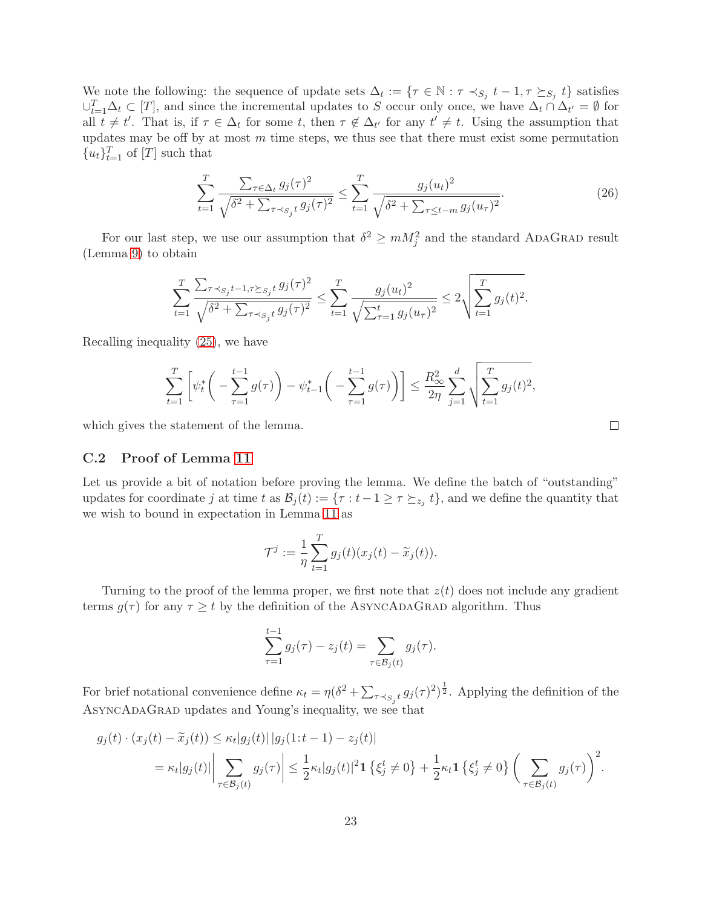We note the following: the sequence of update sets  $\Delta_t := \{ \tau \in \mathbb{N} : \tau \prec_{S_j} t - 1, \tau \succeq_{S_j} t \}$  satisfies  $\cup_{t=1}^T \Delta_t \subset [T]$ , and since the incremental updates to S occur only once, we have  $\Delta_t \cap \Delta_{t'} = \emptyset$  for all  $t \neq t'$ . That is, if  $\tau \in \Delta_t$  for some t, then  $\tau \notin \Delta_{t'}$  for any  $t' \neq t$ . Using the assumption that updates may be off by at most  $m$  time steps, we thus see that there must exist some permutation  ${u_t}_{t=1}^T$  of  $[T]$  such that

$$
\sum_{t=1}^{T} \frac{\sum_{\tau \in \Delta_t} g_j(\tau)^2}{\sqrt{\delta^2 + \sum_{\tau \prec s_j t} g_j(\tau)^2}} \le \sum_{t=1}^{T} \frac{g_j(u_t)^2}{\sqrt{\delta^2 + \sum_{\tau \le t-m} g_j(u_\tau)^2}}.
$$
(26)

For our last step, we use our assumption that  $\delta^2 \geq m M_j^2$  and the standard ADAGRAD result (Lemma [9\)](#page-18-2) to obtain

$$
\sum_{t=1}^T \frac{\sum_{\tau \prec_{S_j} t-1, \tau \succeq_{S_j} t} g_j(\tau)^2}{\sqrt{\delta^2 + \sum_{\tau \prec_{S_j} t} g_j(\tau)^2}} \le \sum_{t=1}^T \frac{g_j(u_t)^2}{\sqrt{\sum_{\tau=1}^t g_j(u_\tau)^2}} \le 2\sqrt{\sum_{t=1}^T g_j(t)^2}.
$$

Recalling inequality [\(25\)](#page-21-2), we have

$$
\sum_{t=1}^T \left[ \psi_t^* \bigg( - \sum_{\tau=1}^{t-1} g(\tau) \bigg) - \psi_{t-1}^* \bigg( - \sum_{\tau=1}^{t-1} g(\tau) \bigg) \right] \le \frac{R_\infty^2}{2\eta} \sum_{j=1}^d \sqrt{\sum_{t=1}^T g_j(t)^2},
$$

which gives the statement of the lemma.

### <span id="page-22-0"></span>C.2 Proof of Lemma [11](#page-20-0)

Let us provide a bit of notation before proving the lemma. We define the batch of "outstanding" updates for coordinate j at time t as  $\mathcal{B}_j(t) := \{\tau : t-1 \geq \tau \succeq_{z_j} t\}$ , and we define the quantity that we wish to bound in expectation in Lemma [11](#page-20-0) as

$$
\mathcal{T}^j := \frac{1}{\eta} \sum_{t=1}^T g_j(t)(x_j(t) - \widetilde{x}_j(t)).
$$

Turning to the proof of the lemma proper, we first note that  $z(t)$  does not include any gradient terms  $g(\tau)$  for any  $\tau \geq t$  by the definition of the ASYNCADAGRAD algorithm. Thus

$$
\sum_{\tau=1}^{t-1} g_j(\tau) - z_j(t) = \sum_{\tau \in \mathcal{B}_j(t)} g_j(\tau).
$$

For brief notational convenience define  $\kappa_t = \eta (\delta^2 + \sum_{\tau \prec s_j t} g_j(\tau)^2)^{\frac{1}{2}}$ . Applying the definition of the AsyncAdaGrad updates and Young's inequality, we see that

$$
g_j(t) \cdot (x_j(t) - \widetilde{x}_j(t)) \le \kappa_t |g_j(t)| |g_j(1:t-1) - z_j(t)|
$$
  
=  $\kappa_t |g_j(t)| \left| \sum_{\tau \in \mathcal{B}_j(t)} g_j(\tau) \right| \le \frac{1}{2} \kappa_t |g_j(t)|^2 \mathbf{1} \left\{ \xi_j^t \neq 0 \right\} + \frac{1}{2} \kappa_t \mathbf{1} \left\{ \xi_j^t \neq 0 \right\} \left( \sum_{\tau \in \mathcal{B}_j(t)} g_j(\tau) \right)^2.$ 

<span id="page-22-1"></span> $\Box$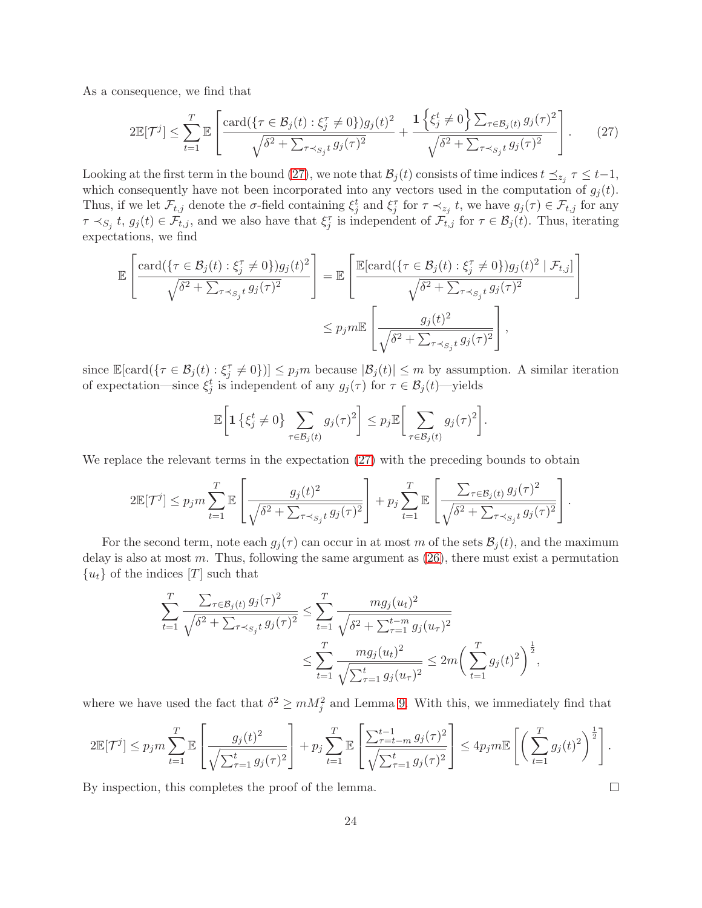As a consequence, we find that

<span id="page-23-0"></span>
$$
2\mathbb{E}[\mathcal{T}^j] \leq \sum_{t=1}^T \mathbb{E}\left[\frac{\text{card}(\{\tau \in \mathcal{B}_j(t) : \xi_j^{\tau} \neq 0\})g_j(t)^2}{\sqrt{\delta^2 + \sum_{\tau \prec_{S_j} t} g_j(\tau)^2}} + \frac{1\left\{\xi_j^t \neq 0\right\} \sum_{\tau \in \mathcal{B}_j(t)} g_j(\tau)^2}{\sqrt{\delta^2 + \sum_{\tau \prec_{S_j} t} g_j(\tau)^2}}\right].
$$
 (27)

Looking at the first term in the bound [\(27\)](#page-23-0), we note that  $\mathcal{B}_j(t)$  consists of time indices  $t \preceq_{z_j} \tau \leq t-1$ , which consequently have not been incorporated into any vectors used in the computation of  $g_j(t)$ . Thus, if we let  $\mathcal{F}_{t,j}$  denote the  $\sigma$ -field containing  $\xi_j^t$  and  $\xi_j^{\tau}$  for  $\tau \prec_{z_j} t$ , we have  $g_j(\tau) \in \mathcal{F}_{t,j}$  for any  $\tau \prec_{S_j} t, g_j(t) \in \mathcal{F}_{t,j}$ , and we also have that  $\xi_j^{\tau}$  is independent of  $\mathcal{F}_{t,j}$  for  $\tau \in \mathcal{B}_j(t)$ . Thus, iterating expectations, we find

$$
\mathbb{E}\left[\frac{\text{card}\{(\tau \in \mathcal{B}_j(t) : \xi_j^{\tau} \neq 0\})g_j(t)^2}{\sqrt{\delta^2 + \sum_{\tau \prec_{S_j} t} g_j(\tau)^2}}\right] = \mathbb{E}\left[\frac{\mathbb{E}[\text{card}\{(\tau \in \mathcal{B}_j(t) : \xi_j^{\tau} \neq 0\})g_j(t)^2 \mid \mathcal{F}_{t,j}]}{\sqrt{\delta^2 + \sum_{\tau \prec_{S_j} t} g_j(\tau)^2}}\right]
$$

$$
\leq p_j m \mathbb{E}\left[\frac{g_j(t)^2}{\sqrt{\delta^2 + \sum_{\tau \prec_{S_j} t} g_j(\tau)^2}}\right],
$$

since  $\mathbb{E}[\text{card}(\{\tau \in \mathcal{B}_j(t) : \xi_j^{\tau} \neq 0\})] \leq p_j m$  because  $|\mathcal{B}_j(t)| \leq m$  by assumption. A similar iteration of expectation—since  $\xi_j^t$  is independent of any  $g_j(\tau)$  for  $\tau \in \mathcal{B}_j(t)$ —yields

$$
\mathbb{E}\bigg[{\bf 1}\left\{\xi_j^t \neq 0\right\}\sum_{\tau\in\mathcal{B}_j(t)}g_j(\tau)^2\bigg] \leq p_j\mathbb{E}\bigg[\sum_{\tau\in\mathcal{B}_j(t)}g_j(\tau)^2\bigg].
$$

We replace the relevant terms in the expectation  $(27)$  with the preceding bounds to obtain

$$
2\mathbb{E}[\mathcal{T}^j] \leq p_j m \sum_{t=1}^T \mathbb{E}\left[\frac{g_j(t)^2}{\sqrt{\delta^2 + \sum_{\tau \prec_{S_j} t} g_j(\tau)^2}}\right] + p_j \sum_{t=1}^T \mathbb{E}\left[\frac{\sum_{\tau \in \mathcal{B}_j(t)} g_j(\tau)^2}{\sqrt{\delta^2 + \sum_{\tau \prec_{S_j} t} g_j(\tau)^2}}\right].
$$

For the second term, note each  $g_i(\tau)$  can occur in at most m of the sets  $\mathcal{B}_i(t)$ , and the maximum delay is also at most  $m$ . Thus, following the same argument as  $(26)$ , there must exist a permutation  ${u_t}$  of the indices  $[T]$  such that

$$
\sum_{t=1}^{T} \frac{\sum_{\tau \in \mathcal{B}_j(t)} g_j(\tau)^2}{\sqrt{\delta^2 + \sum_{\tau \prec_{S_j} t} g_j(\tau)^2}} \le \sum_{t=1}^{T} \frac{mg_j(u_t)^2}{\sqrt{\delta^2 + \sum_{\tau=1}^{t-m} g_j(u_\tau)^2}} \le 2m \left( \sum_{t=1}^{T} g_j(t)^2 \right)^{\frac{1}{2}},
$$

where we have used the fact that  $\delta^2 \geq m M_j^2$  and Lemma [9.](#page-18-2) With this, we immediately find that

$$
2\mathbb{E}[\mathcal{T}^j] \leq p_j m \sum_{t=1}^T \mathbb{E}\left[\frac{g_j(t)^2}{\sqrt{\sum_{\tau=1}^t g_j(\tau)^2}}\right] + p_j \sum_{t=1}^T \mathbb{E}\left[\frac{\sum_{\tau=t-m}^{t-1} g_j(\tau)^2}{\sqrt{\sum_{\tau=1}^t g_j(\tau)^2}}\right] \leq 4p_j m \mathbb{E}\left[\left(\sum_{t=1}^T g_j(t)^2\right)^{\frac{1}{2}}\right].
$$

By inspection, this completes the proof of the lemma.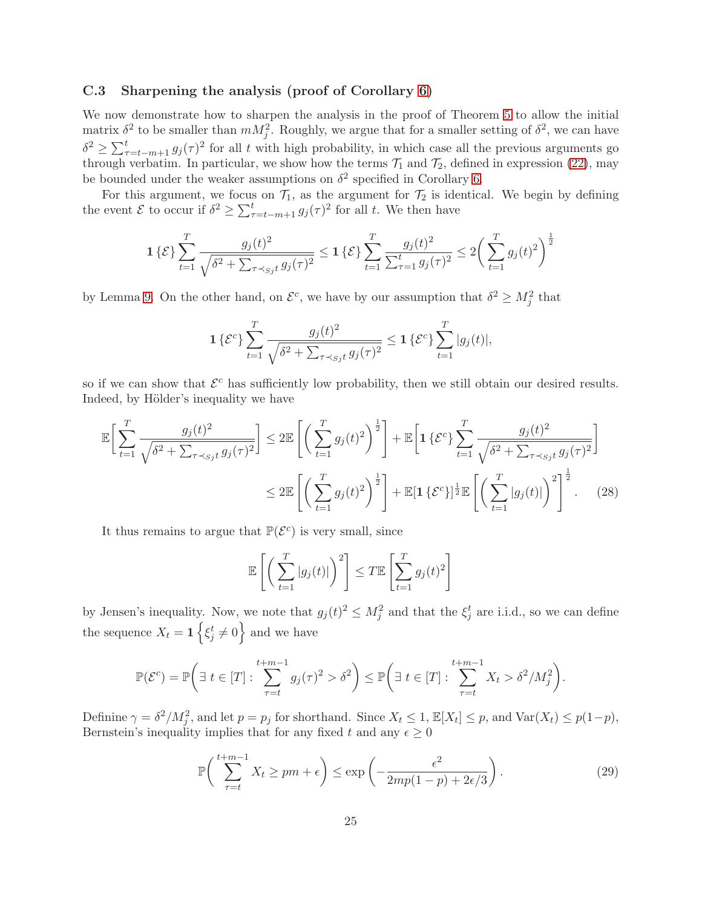### <span id="page-24-0"></span>C.3 Sharpening the analysis (proof of Corollary [6\)](#page-7-2)

We now demonstrate how to sharpen the analysis in the proof of Theorem [5](#page-7-1) to allow the initial matrix  $\delta^2$  to be smaller than  $mM_j^2$ . Roughly, we argue that for a smaller setting of  $\delta^2$ , we can have  $\delta^2 \geq \sum_{\tau=t-m+1}^t g_j(\tau)^2$  for all t with high probability, in which case all the previous arguments go through verbatim. In particular, we show how the terms  $\mathcal{T}_1$  and  $\mathcal{T}_2$ , defined in expression [\(22\)](#page-19-3), may be bounded under the weaker assumptions on  $\delta^2$  specified in Corollary [6.](#page-7-2)

For this argument, we focus on  $\mathcal{T}_1$ , as the argument for  $\mathcal{T}_2$  is identical. We begin by defining the event  $\mathcal E$  to occur if  $\delta^2 \ge \sum_{\tau=t-m+1}^t g_j(\tau)^2$  for all t. We then have

$$
1\{\mathcal{E}\}\sum_{t=1}^{T} \frac{g_j(t)^2}{\sqrt{\delta^2 + \sum_{\tau \prec_{Sj} t} g_j(\tau)^2}} \le 1\{\mathcal{E}\}\sum_{t=1}^{T} \frac{g_j(t)^2}{\sum_{\tau=1}^{t} g_j(\tau)^2} \le 2\bigg(\sum_{t=1}^{T} g_j(t)^2\bigg)^{\frac{1}{2}}
$$

by Lemma [9.](#page-18-2) On the other hand, on  $\mathcal{E}^c$ , we have by our assumption that  $\delta^2 \geq M_j^2$  that

$$
1 \left\{ \mathcal{E}^c \right\} \sum_{t=1}^T \frac{g_j(t)^2}{\sqrt{\delta^2 + \sum_{\tau \prec_{Sj} t} g_j(\tau)^2}} \le 1 \left\{ \mathcal{E}^c \right\} \sum_{t=1}^T |g_j(t)|,
$$

so if we can show that  $\mathcal{E}^c$  has sufficiently low probability, then we still obtain our desired results. Indeed, by Hölder's inequality we have

$$
\mathbb{E}\bigg[\sum_{t=1}^{T} \frac{g_j(t)^2}{\sqrt{\delta^2 + \sum_{\tau \prec_{Sj} t} g_j(\tau)^2}}\bigg] \leq 2\mathbb{E}\left[\bigg(\sum_{t=1}^{T} g_j(t)^2\bigg)^{\frac{1}{2}}\right] + \mathbb{E}\bigg[\mathbf{1}\left\{\mathcal{E}^c\right\}\sum_{t=1}^{T} \frac{g_j(t)^2}{\sqrt{\delta^2 + \sum_{\tau \prec_{Sj} t} g_j(\tau)^2}}\bigg]
$$

$$
\leq 2\mathbb{E}\left[\bigg(\sum_{t=1}^{T} g_j(t)^2\bigg)^{\frac{1}{2}}\right] + \mathbb{E}[\mathbf{1}\left\{\mathcal{E}^c\right\}]^{\frac{1}{2}}\mathbb{E}\left[\bigg(\sum_{t=1}^{T} |g_j(t)|\bigg)^2\right]^{\frac{1}{2}}.\tag{28}
$$

It thus remains to argue that  $\mathbb{P}(\mathcal{E}^c)$  is very small, since

<span id="page-24-2"></span>
$$
\mathbb{E}\left[\left(\sum_{t=1}^T |g_j(t)|\right)^2\right] \le T \mathbb{E}\left[\sum_{t=1}^T g_j(t)^2\right]
$$

by Jensen's inequality. Now, we note that  $g_j(t)^2 \leq M_j^2$  and that the  $\xi_j^t$  are i.i.d., so we can define the sequence  $X_t = \mathbf{1}\left\{\xi_j^t \neq 0\right\}$  and we have

$$
\mathbb{P}(\mathcal{E}^c) = \mathbb{P}\bigg(\exists t \in [T] : \sum_{\tau=t}^{t+m-1} g_j(\tau)^2 > \delta^2\bigg) \leq \mathbb{P}\bigg(\exists t \in [T] : \sum_{\tau=t}^{t+m-1} X_t > \delta^2 / M_j^2\bigg).
$$

Definine  $\gamma = \delta^2 / M_j^2$ , and let  $p = p_j$  for shorthand. Since  $X_t \leq 1$ ,  $\mathbb{E}[X_t] \leq p$ , and  $\text{Var}(X_t) \leq p(1-p)$ , Bernstein's inequality implies that for any fixed t and any  $\epsilon \geq 0$ 

<span id="page-24-1"></span>
$$
\mathbb{P}\bigg(\sum_{\tau=t}^{t+m-1} X_t \ge pm + \epsilon\bigg) \le \exp\bigg(-\frac{\epsilon^2}{2mp(1-p) + 2\epsilon/3}\bigg). \tag{29}
$$